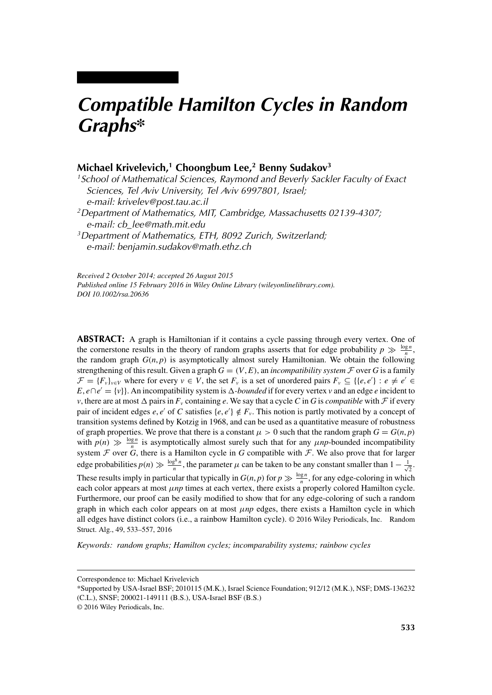# *Compatible Hamilton Cycles in Random Graphs\**

# **Michael Krivelevich,1 Choongbum Lee,2 Benny Sudakov3**

*1School of Mathematical Sciences, Raymond and Beverly Sackler Faculty of Exact Sciences, Tel Aviv University, Tel Aviv 6997801, Israel; e-mail: krivelev@post.tau.ac.il 2Department of Mathematics, MIT, Cambridge, Massachusetts 02139-4307;*

*e-mail: cb\_lee@math.mit.edu*

*3Department of Mathematics, ETH, 8092 Zurich, Switzerland; e-mail: benjamin.sudakov@math.ethz.ch*

*Received 2 October 2014; accepted 26 August 2015 Published online 15 February 2016 in Wiley Online Library (wileyonlinelibrary.com). DOI 10.1002/rsa.20636*

**ABSTRACT:** A graph is Hamiltonian if it contains a cycle passing through every vertex. One of the cornerstone results in the theory of random graphs asserts that for edge probability  $p \gg \frac{\log n}{n}$ , the random graph  $G(n, p)$  is asymptotically almost surely Hamiltonian. We obtain the following strengthening of this result. Given a graph  $G = (V, E)$ , an *incompatibility system*  $\mathcal F$  over  $G$  is a family  $\mathcal{F} = \{F_v\}_{v \in V}$  where for every  $v \in V$ , the set  $F_v$  is a set of unordered pairs  $F_v \subseteq \{(e, e') : e \neq e' \in V\}$  $E, e \cap e' = \{v\}$ . An incompatibility system is  $\Delta$ -*bounded* if for every vertex *v* and an edge *e* incident to *v*, there are at most  $\Delta$  pairs in  $F_v$  containing *e*. We say that a cycle *C* in *G* is *compatible* with *F* if every pair of incident edges *e*, *e'* of *C* satisfies { $e, e'$ }  $\notin F_\nu$ . This notion is partly motivated by a concept of transition systems defined by Kotzig in 1968, and can be used as a quantitative measure of robustness of graph properties. We prove that there is a constant  $\mu > 0$  such that the random graph  $G = G(n, p)$ with  $p(n) \gg \frac{\log n}{n}$  is asymptotically almost surely such that for any *μnp*-bounded incompatibility system  $\mathcal F$  over  $\ddot G$ , there is a Hamilton cycle in  $G$  compatible with  $\mathcal F$ . We also prove that for larger edge probabilities  $p(n) \gg \frac{\log^8 n}{n}$ , the parameter  $\mu$  can be taken to be any constant smaller than  $1 - \frac{1}{\sqrt{2}}$ . These results imply in particular that typically in  $G(n, p)$  for  $p \gg \frac{\log n}{n}$ , for any edge-coloring in which each color appears at most *μnp* times at each vertex, there exists a properly colored Hamilton cycle. Furthermore, our proof can be easily modified to show that for any edge-coloring of such a random graph in which each color appears on at most *μnp* edges, there exists a Hamilton cycle in which all edges have distinct colors (i.e., a rainbow Hamilton cycle). © 2016 Wiley Periodicals, Inc. Random Struct. Alg., 49, 533–557, 2016

*Keywords: random graphs; Hamilton cycles; incomparability systems; rainbow cycles*

Correspondence to: Michael Krivelevich

<sup>\*</sup>Supported by USA-Israel BSF; 2010115 (M.K.), Israel Science Foundation; 912/12 (M.K.), NSF; DMS-136232 (C.L.), SNSF; 200021-149111 (B.S.), USA-Israel BSF (B.S.)

<sup>© 2016</sup> Wiley Periodicals, Inc.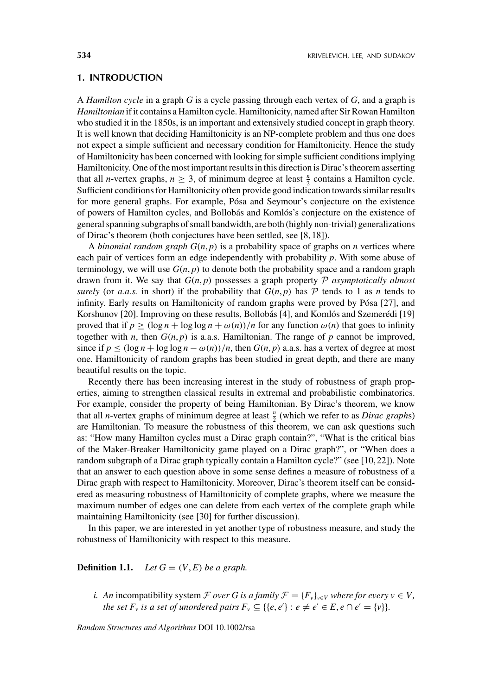### **1. INTRODUCTION**

A *Hamilton cycle* in a graph *G* is a cycle passing through each vertex of *G*, and a graph is *Hamiltonian* if it contains a Hamilton cycle. Hamiltonicity, named after Sir Rowan Hamilton who studied it in the 1850s, is an important and extensively studied concept in graph theory. It is well known that deciding Hamiltonicity is an NP-complete problem and thus one does not expect a simple sufficient and necessary condition for Hamiltonicity. Hence the study of Hamiltonicity has been concerned with looking for simple sufficient conditions implying Hamiltonicity. One of the most important results in this direction is Dirac's theorem asserting that all *n*-vertex graphs,  $n \geq 3$ , of minimum degree at least  $\frac{n}{2}$  contains a Hamilton cycle. Sufficient conditions for Hamiltonicity often provide good indication towards similar results for more general graphs. For example, Pósa and Seymour's conjecture on the existence of powers of Hamilton cycles, and Bollobás and Komlós's conjecture on the existence of general spanning subgraphs of small bandwidth, are both (highly non-trivial) generalizations of Dirac's theorem (both conjectures have been settled, see [8, 18]).

A *binomial random graph*  $G(n, p)$  is a probability space of graphs on *n* vertices where each pair of vertices form an edge independently with probability *p*. With some abuse of terminology, we will use  $G(n, p)$  to denote both the probability space and a random graph drawn from it. We say that  $G(n, p)$  possesses a graph property  $P$  *asymptotically almost surely* (or *a.a.s.* in short) if the probability that  $G(n, p)$  has  $P$  tends to 1 as *n* tends to infinity. Early results on Hamiltonicity of random graphs were proved by Pósa [27], and Korshunov [20]. Improving on these results, Bollobás [4], and Komlós and Szemerédi [19] proved that if  $p \geq (\log n + \log \log n + \omega(n))/n$  for any function  $\omega(n)$  that goes to infinity together with *n*, then  $G(n, p)$  is a.a.s. Hamiltonian. The range of *p* cannot be improved, since if  $p \leq (\log n + \log \log n - \omega(n))/n$ , then  $G(n, p)$  a.a.s. has a vertex of degree at most one. Hamiltonicity of random graphs has been studied in great depth, and there are many beautiful results on the topic.

Recently there has been increasing interest in the study of robustness of graph properties, aiming to strengthen classical results in extremal and probabilistic combinatorics. For example, consider the property of being Hamiltonian. By Dirac's theorem, we know that all *n*-vertex graphs of minimum degree at least  $\frac{n}{2}$  (which we refer to as *Dirac graphs*) are Hamiltonian. To measure the robustness of this theorem, we can ask questions such as: "How many Hamilton cycles must a Dirac graph contain?", "What is the critical bias of the Maker-Breaker Hamiltonicity game played on a Dirac graph?", or "When does a random subgraph of a Dirac graph typically contain a Hamilton cycle?" (see [10, 22]). Note that an answer to each question above in some sense defines a measure of robustness of a Dirac graph with respect to Hamiltonicity. Moreover, Dirac's theorem itself can be considered as measuring robustness of Hamiltonicity of complete graphs, where we measure the maximum number of edges one can delete from each vertex of the complete graph while maintaining Hamiltonicity (see [30] for further discussion).

In this paper, we are interested in yet another type of robustness measure, and study the robustness of Hamiltonicity with respect to this measure.

## **Definition 1.1.** *Let*  $G = (V, E)$  *be a graph.*

*i.* An incompatibility system  $\mathcal F$  *over* G *is a family*  $\mathcal F = \{F_v\}_{v \in V}$  *where for every*  $v \in V$ , *the set*  $F_v$  *is a set of unordered pairs*  $F_v \subseteq \{ \{e, e'\} : e \neq e' \in E, e \cap e' = \{v\} \}.$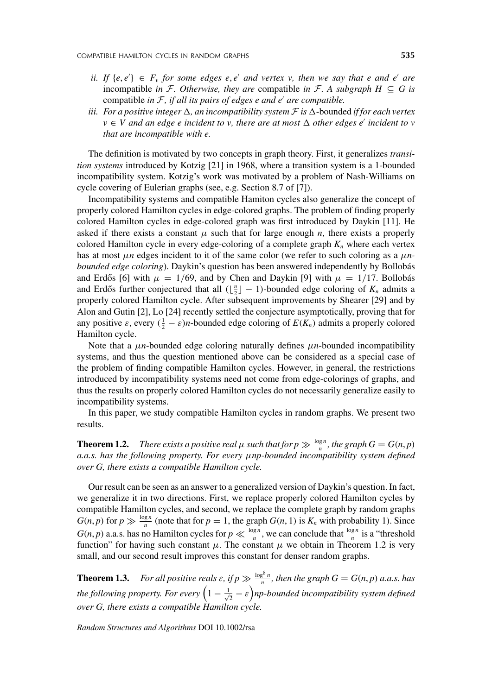- *ii.* If  $\{e, e'\} \in F$ , for some edges  $e, e'$  and vertex v, then we say that e and e' are incompatible *in* F. Otherwise, they are compatible *in* F. A subgraph  $H \subseteq G$  is compatible *in* F, *if all its pairs of edges e and e' are compatible.*
- *iii. For a positive integer*  $\Delta$ , *an incompatibility system*  $\mathcal F$  *is*  $\Delta$ -bounded *if for each vertex v* ∈ *V* and an edge e incident to *v*, there are at most  $\Delta$  other edges e' incident to *v that are incompatible with e.*

The definition is motivated by two concepts in graph theory. First, it generalizes *transition systems* introduced by Kotzig [21] in 1968, where a transition system is a 1-bounded incompatibility system. Kotzig's work was motivated by a problem of Nash-Williams on cycle covering of Eulerian graphs (see, e.g. Section 8.7 of [7]).

Incompatibility systems and compatible Hamiton cycles also generalize the concept of properly colored Hamilton cycles in edge-colored graphs. The problem of finding properly colored Hamilton cycles in edge-colored graph was first introduced by Daykin [11]. He asked if there exists a constant  $\mu$  such that for large enough *n*, there exists a properly colored Hamilton cycle in every edge-coloring of a complete graph  $K_n$  where each vertex has at most *μn* edges incident to it of the same color (we refer to such coloring as a *μnbounded edge coloring*). Daykin's question has been answered independently by Bollobás and Erdős [6] with  $\mu = 1/69$ , and by Chen and Daykin [9] with  $\mu = 1/17$ . Bollobás and Erdős further conjectured that all  $(\lfloor \frac{n}{2} \rfloor - 1)$ -bounded edge coloring of  $K_n$  admits a properly colored Hamilton cycle. After subsequent improvements by Shearer [29] and by Alon and Gutin [2], Lo [24] recently settled the conjecture asymptotically, proving that for any positive  $\varepsilon$ , every  $(\frac{1}{2} - \varepsilon)n$ -bounded edge coloring of  $E(K_n)$  admits a properly colored Hamilton cycle.

Note that a *μn*-bounded edge coloring naturally defines *μn*-bounded incompatibility systems, and thus the question mentioned above can be considered as a special case of the problem of finding compatible Hamilton cycles. However, in general, the restrictions introduced by incompatibility systems need not come from edge-colorings of graphs, and thus the results on properly colored Hamilton cycles do not necessarily generalize easily to incompatibility systems.

In this paper, we study compatible Hamilton cycles in random graphs. We present two results.

**Theorem 1.2.** *There exists a positive real*  $\mu$  *such that for*  $p \gg \frac{\log n}{n}$ *, the graph*  $G = G(n, p)$ *a.a.s. has the following property. For every μnp-bounded incompatibility system defined over G, there exists a compatible Hamilton cycle.*

Our result can be seen as an answer to a generalized version of Daykin's question. In fact, we generalize it in two directions. First, we replace properly colored Hamilton cycles by compatible Hamilton cycles, and second, we replace the complete graph by random graphs  $G(n, p)$  for  $p \gg \frac{\log n}{n}$  (note that for  $p = 1$ , the graph  $G(n, 1)$  is  $K_n$  with probability 1). Since  $G(n, p)$  a.a.s. has no Hamilton cycles for  $p \ll \frac{\log n}{n}$ , we can conclude that  $\frac{\log n}{n}$  is a "threshold function" for having such constant  $\mu$ . The constant  $\mu$  we obtain in Theorem 1.2 is very small, and our second result improves this constant for denser random graphs.

**Theorem 1.3.** *For all positive reals*  $\varepsilon$ *, if*  $p \gg \frac{\log^8 n}{n}$ *, then the graph*  $G = G(n, p)$  *a.a.s. has* the following property. For every  $\left(1-\frac{1}{\sqrt{2}}-\varepsilon\right)$ np-bounded incompatibility system defined *over G, there exists a compatible Hamilton cycle.*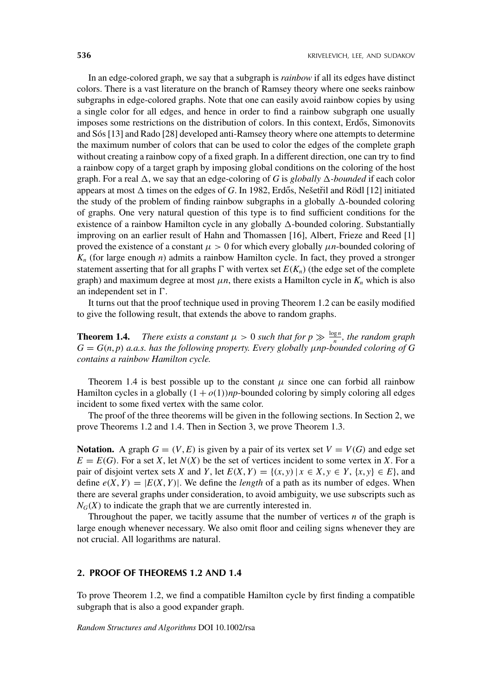In an edge-colored graph, we say that a subgraph is *rainbow* if all its edges have distinct colors. There is a vast literature on the branch of Ramsey theory where one seeks rainbow subgraphs in edge-colored graphs. Note that one can easily avoid rainbow copies by using a single color for all edges, and hence in order to find a rainbow subgraph one usually imposes some restrictions on the distribution of colors. In this context, Erdős, Simonovits and Sós [13] and Rado [28] developed anti-Ramsey theory where one attempts to determine the maximum number of colors that can be used to color the edges of the complete graph without creating a rainbow copy of a fixed graph. In a different direction, one can try to find a rainbow copy of a target graph by imposing global conditions on the coloring of the host graph. For a real  $\Delta$ , we say that an edge-coloring of *G* is *globally*  $\Delta$ -*bounded* if each color appears at most  $\Delta$  times on the edges of *G*. In 1982, Erdős, Nešetřil and Rödl [12] initiated the study of the problem of finding rainbow subgraphs in a globally  $\Delta$ -bounded coloring of graphs. One very natural question of this type is to find sufficient conditions for the existence of a rainbow Hamilton cycle in any globally  $\Delta$ -bounded coloring. Substantially improving on an earlier result of Hahn and Thomassen [16], Albert, Frieze and Reed [1] proved the existence of a constant  $\mu > 0$  for which every globally  $\mu n$ -bounded coloring of  $K_n$  (for large enough *n*) admits a rainbow Hamilton cycle. In fact, they proved a stronger statement asserting that for all graphs  $\Gamma$  with vertex set  $E(K_n)$  (the edge set of the complete graph) and maximum degree at most  $\mu n$ , there exists a Hamilton cycle in  $K_n$  which is also an independent set in  $\Gamma$ .

It turns out that the proof technique used in proving Theorem 1.2 can be easily modified to give the following result, that extends the above to random graphs.

**Theorem 1.4.** *There exists a constant*  $\mu > 0$  *such that for*  $p \gg \frac{\log n}{n}$ *, the random graph G* = *G(n*, *p) a.a.s. has the following property. Every globally μnp-bounded coloring of G contains a rainbow Hamilton cycle.*

Theorem 1.4 is best possible up to the constant  $\mu$  since one can forbid all rainbow Hamilton cycles in a globally  $(1 + o(1))$ *np*-bounded coloring by simply coloring all edges incident to some fixed vertex with the same color.

The proof of the three theorems will be given in the following sections. In Section 2, we prove Theorems 1.2 and 1.4. Then in Section 3, we prove Theorem 1.3.

**Notation.** A graph  $G = (V, E)$  is given by a pair of its vertex set  $V = V(G)$  and edge set  $E = E(G)$ . For a set *X*, let  $N(X)$  be the set of vertices incident to some vertex in *X*. For a pair of disjoint vertex sets *X* and *Y*, let  $E(X, Y) = \{(x, y) | x \in X, y \in Y, \{x, y\} \in E\}$ , and define  $e(X, Y) = |E(X, Y)|$ . We define the *length* of a path as its number of edges. When there are several graphs under consideration, to avoid ambiguity, we use subscripts such as  $N_G(X)$  to indicate the graph that we are currently interested in.

Throughout the paper, we tacitly assume that the number of vertices *n* of the graph is large enough whenever necessary. We also omit floor and ceiling signs whenever they are not crucial. All logarithms are natural.

### **2. PROOF OF THEOREMS 1.2 AND 1.4**

To prove Theorem 1.2, we find a compatible Hamilton cycle by first finding a compatible subgraph that is also a good expander graph.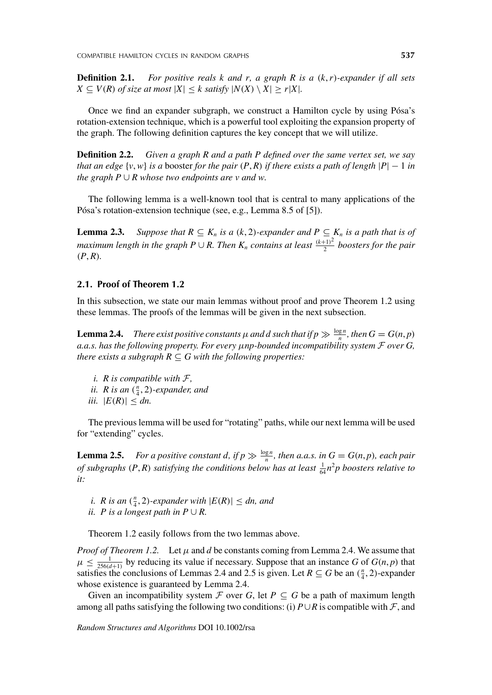**Definition 2.1.** *For positive reals k and r, a graph R is a (k*,*r)-expander if all sets*  $X \subseteq V(R)$  *of size at most*  $|X| \leq k$  *satisfy*  $|N(X) \setminus X| \geq r|X|$ *.* 

Once we find an expander subgraph, we construct a Hamilton cycle by using Pósa's rotation-extension technique, which is a powerful tool exploiting the expansion property of the graph. The following definition captures the key concept that we will utilize.

**Definition 2.2.** *Given a graph R and a path P defined over the same vertex set, we say that an edge*  $\{v, w\}$  *is a* booster *for the pair*  $(P, R)$  *if there exists a path of length*  $|P| - 1$  *in the graph P*  $\cup$  *R whose two endpoints are v and w.* 

The following lemma is a well-known tool that is central to many applications of the Pósa's rotation-extension technique (see, e.g., Lemma 8.5 of [5]).

**Lemma 2.3.** Suppose that  $R \subseteq K_n$  is a  $(k, 2)$ -expander and  $P \subseteq K_n$  is a path that is of  $m$ aximum length in the graph  $P\cup R.$  Then  $K_n$  contains at least  $\frac{(k+1)^2}{2}$  boosters for the pair  $(P, R)$ *.* 

# **2.1. Proof of Theorem 1.2**

In this subsection, we state our main lemmas without proof and prove Theorem 1.2 using these lemmas. The proofs of the lemmas will be given in the next subsection.

**Lemma 2.4.** *There exist positive constants*  $\mu$  *and d such that if*  $p \gg \frac{\log n}{n}$ *, then*  $G = G(n, p)$ *a.a.s. has the following property. For every μnp-bounded incompatibility system* F *over G, there exists a subgraph*  $R \subseteq G$  *with the following properties:* 

*i. R is compatible with* F*, ii. R is an*  $(\frac{n}{4}, 2)$ *-expander, and iii.*  $|E(R)| \leq dn$ .

The previous lemma will be used for "rotating" paths, while our next lemma will be used for "extending" cycles.

**Lemma 2.5.** *For a positive constant d, if*  $p \gg \frac{\log n}{n}$ *, then a.a.s. in*  $G = G(n, p)$ *, each pair of subgraphs*  $(P, R)$  *satisfying the conditions below has at least*  $\frac{1}{64}n^2p$  *boosters relative to it:*

*i. R is an*  $(\frac{n}{4}, 2)$ *-expander with*  $|E(R)| \leq dn$ *, and ii. P* is a longest path in  $P \cup R$ .

Theorem 1.2 easily follows from the two lemmas above.

*Proof of Theorem 1.2.* Let  $\mu$  and  $d$  be constants coming from Lemma 2.4. We assume that  $\mu \leq \frac{1}{256(d+1)}$  by reducing its value if necessary. Suppose that an instance *G* of *G*(*n*, *p*) that satisfies the conclusions of Lemmas 2.4 and 2.5 is given. Let  $R \subseteq G$  be an  $(\frac{n}{4}, 2)$ -expander whose existence is guaranteed by Lemma 2.4.

Given an incompatibility system  $\mathcal F$  over *G*, let  $P \subseteq G$  be a path of maximum length among all paths satisfying the following two conditions: (i)  $P \cup R$  is compatible with  $\mathcal{F}$ , and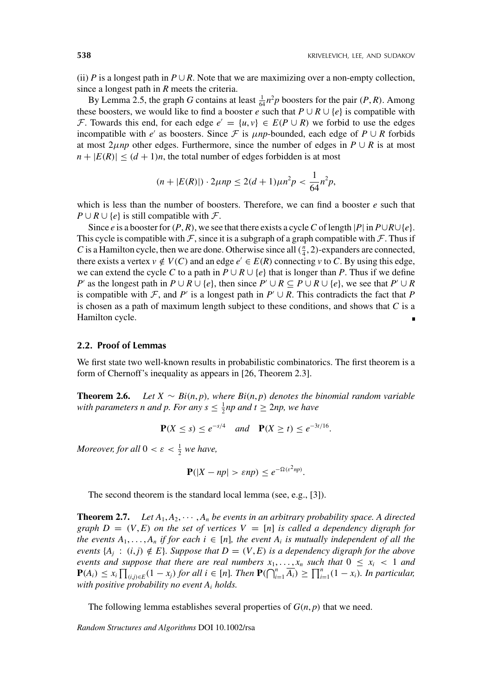(ii) *P* is a longest path in  $P \cup R$ . Note that we are maximizing over a non-empty collection, since a longest path in *R* meets the criteria.

By Lemma 2.5, the graph *G* contains at least  $\frac{1}{64}n^2p$  boosters for the pair *(P, R)*. Among these boosters, we would like to find a booster *e* such that  $P \cup R \cup \{e\}$  is compatible with F. Towards this end, for each edge  $e' = \{u, v\} \in E(P \cup R)$  we forbid to use the edges incompatible with *e'* as boosters. Since F is  $\mu np$ -bounded, each edge of  $P \cup R$  forbids at most 2*µnp* other edges. Furthermore, since the number of edges in  $P \cup R$  is at most  $n + |E(R)| \leq (d+1)n$ , the total number of edges forbidden is at most

$$
(n+|E(R)|)\cdot 2\mu np \le 2(d+1)\mu n^2 p < \frac{1}{64}n^2p,
$$

which is less than the number of boosters. Therefore, we can find a booster *e* such that *P* ∪ *R* ∪ {*e*} is still compatible with  $\mathcal{F}$ .

Since *e* is a booster for  $(P, R)$ , we see that there exists a cycle *C* of length  $|P|$  in  $P \cup R \cup \{e\}$ . This cycle is compatible with  $F$ , since it is a subgraph of a graph compatible with  $F$ . Thus if *C* is a Hamilton cycle, then we are done. Otherwise since all  $(\frac{n}{4}, 2)$ -expanders are connected, there exists a vertex  $v \notin V(C)$  and an edge  $e' \in E(R)$  connecting  $v$  to  $C$ . By using this edge, we can extend the cycle C to a path in  $P \cup R \cup \{e\}$  that is longer than P. Thus if we define *P* as the longest path in  $P \cup R \cup \{e\}$ , then since  $P' \cup R \subseteq P \cup R \cup \{e\}$ , we see that  $P' \cup R$ is compatible with  $\mathcal{F}$ , and *P'* is a longest path in  $P' \cup R$ . This contradicts the fact that *P* is chosen as a path of maximum length subject to these conditions, and shows that *C* is a Hamilton cycle.

#### **2.2. Proof of Lemmas**

We first state two well-known results in probabilistic combinatorics. The first theorem is a form of Chernoff's inequality as appears in [26, Theorem 2.3].

**Theorem 2.6.** *Let*  $X \sim Bi(n, p)$ *, where Bi* $(n, p)$  *denotes the binomial random variable* with parameters *n* and *p*. For any  $s \leq \frac{1}{2}$ np and  $t \geq 2$ np, we have

$$
\mathbf{P}(X \le s) \le e^{-s/4} \quad \text{and} \quad \mathbf{P}(X \ge t) \le e^{-3t/16}.
$$

*Moreover, for all*  $0 < \varepsilon < \frac{1}{2}$  *we have,* 

$$
\mathbf{P}(|X - np| > \varepsilon np) \le e^{-\Omega(\varepsilon^2 np)}.
$$

The second theorem is the standard local lemma (see, e.g., [3]).

**Theorem 2.7.** Let  $A_1, A_2, \cdots, A_n$  be events in an arbitrary probability space. A directed *graph*  $D = (V, E)$  *on the set of vertices*  $V = [n]$  *is called a dependency digraph for the events*  $A_1, \ldots, A_n$  *if for each i* ∈ [*n*]*, the event*  $A_i$  *is mutually independent of all the events*  $\{A_j : (i,j) \notin E\}$ *. Suppose that*  $D = (V, E)$  *is a dependency digraph for the above events and suppose that there are real numbers*  $x_1, \ldots, x_n$  *such that*  $0 \le x_i < 1$  *and*  $\mathbf{P}(A_i) \leq x_i \prod_{(i,j)\in E} (1-x_j)$  for all  $i \in [n]$ . Then  $\mathbf{P}(\bigcap_{i=1}^n \overline{A_i}) \geq \prod_{i=1}^n (1-x_i)$ . In particular, *with positive probability no event Ai holds.*

The following lemma establishes several properties of  $G(n, p)$  that we need.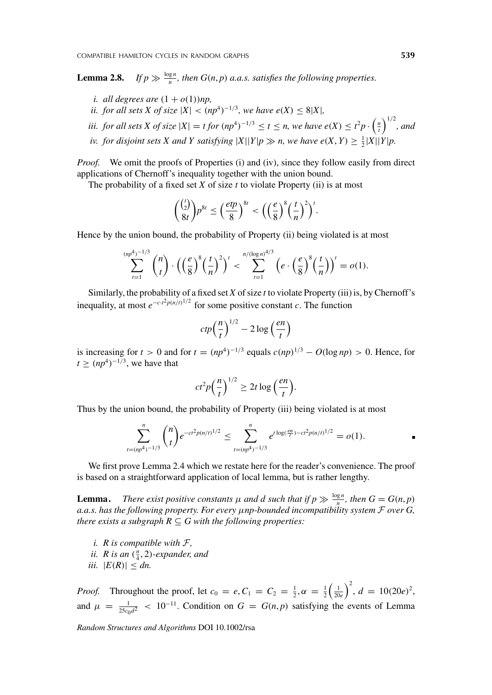Lemma 2.8.  $\gg \frac{\log n}{n}$ , then  $G(n, p)$  *a.a.s.* satisfies the following properties.

- *i. all degrees are*  $(1 + o(1))$ *np*,
- *ii. for all sets X of size*  $|X| < (np^4)^{-1/3}$ *, we have e*(*X*)  $\leq 8|X|$ *,*
- *iii. for all sets X of size*  $|X| = t$  *for*  $(np^4)^{-1/3} \le t \le n$ , we have  $e(X) \le t^2 p \cdot \left(\frac{n}{t}\right)^{1/2}$ , and
- *iv. for disjoint sets X* and *Y* satisfying  $|X||Y|p \gg n$ , we have  $e(X, Y) \geq \frac{1}{2}|X||Y|p$ .

*Proof.* We omit the proofs of Properties (i) and (iv), since they follow easily from direct applications of Chernoff's inequality together with the union bound.

The probability of a fixed set *X* of size *t* to violate Property (ii) is at most

$$
{\binom{\binom{t}{2}}{8t}}p^{8t} \leq \left(\frac{etp}{8}\right)^{8t} < \left(\left(\frac{e}{8}\right)^8\left(\frac{t}{n}\right)^2\right)^t.
$$

Hence by the union bound, the probability of Property (ii) being violated is at most

$$
\sum_{t=1}^{(np^4)^{-1/3}} \binom{n}{t} \cdot \left( \left(\frac{e}{8}\right)^8 \left(\frac{t}{n}\right)^2 \right)^t < \sum_{t=1}^{n/(\log n)^{4/3}} \left( e \cdot \left(\frac{e}{8}\right)^8 \left(\frac{t}{n}\right) \right)^t = o(1).
$$

Similarly, the probability of a fixed set *X* of size *t* to violate Property (iii) is, by Chernoff's inequality, at most  $e^{-c \cdot t^2 p(n/t)^{1/2}}$  for some positive constant *c*. The function

$$
ctp\left(\frac{n}{t}\right)^{1/2} - 2\log\left(\frac{en}{t}\right)
$$

is increasing for  $t > 0$  and for  $t = (np^4)^{-1/3}$  equals  $c(np)^{1/3} - O(\log np) > 0$ . Hence, for  $t \geq (np^4)^{-1/3}$ , we have that

$$
ct2p\left(\frac{n}{t}\right)^{1/2} \geq 2t\log\left(\frac{en}{t}\right).
$$

Thus by the union bound, the probability of Property (iii) being violated is at most

$$
\sum_{t=(np^4)^{-1/3}}^n \binom{n}{t} e^{-ct^2 p(n/t)^{1/2}} \le \sum_{t=(np^4)^{-1/3}}^n e^{t \log(\frac{e^n t}{t}) - ct^2 p(n/t)^{1/2}} = o(1).
$$

We first prove Lemma 2.4 which we restate here for the reader's convenience. The proof is based on a straightforward application of local lemma, but is rather lengthy.

**Lemma.** *There exist positive constants*  $\mu$  *and*  $d$  *such that if*  $p \gg \frac{\log n}{n}$ *, then*  $G = G(n, p)$ *a.a.s. has the following property. For every μnp-bounded incompatibility system* F *over G, there exists a subgraph*  $R \subseteq G$  *with the following properties:* 

- *i. R is compatible with* F*,*
- *ii. R is an*  $(\frac{n}{4}, 2)$ *-expander, and*
- *iii.*  $|E(R)| \leq dn$ .

*Proof.* Throughout the proof, let  $c_0 = e$ ,  $C_1 = C_2 = \frac{1}{2}$ ,  $\alpha = \frac{1}{2} \left( \frac{1}{20e} \right)^2$ ,  $d = 10(20e)^2$ , and  $\mu = \frac{1}{25c_0d^2} < 10^{-11}$ . Condition on  $G = G(n, p)$  satisfying the events of Lemma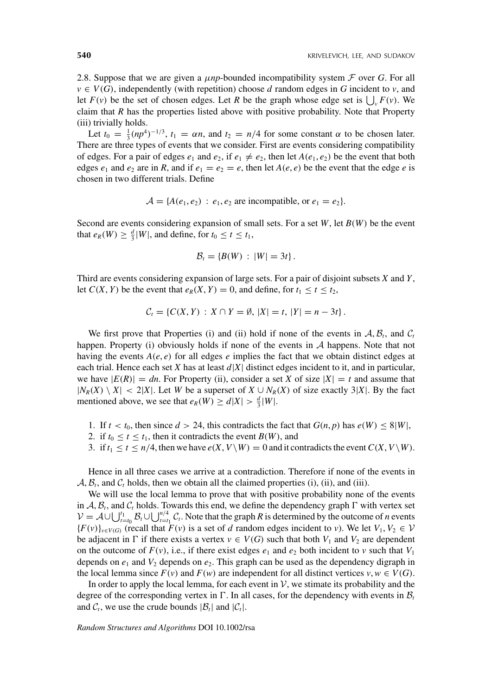2.8. Suppose that we are given a  $\mu np$ -bounded incompatibility system  $\mathcal F$  over *G*. For all  $v \in V(G)$ , independently (with repetition) choose *d* random edges in *G* incident to *v*, and let  $F(v)$  be the set of chosen edges. Let R be the graph whose edge set is  $\bigcup_{v} F(v)$ . We claim that *R* has the properties listed above with positive probability. Note that Property (iii) trivially holds.

Let  $t_0 = \frac{1}{3} (np^4)^{-1/3}$ ,  $t_1 = \alpha n$ , and  $t_2 = n/4$  for some constant  $\alpha$  to be chosen later. There are three types of events that we consider. First are events considering compatibility of edges. For a pair of edges  $e_1$  and  $e_2$ , if  $e_1 \neq e_2$ , then let  $A(e_1, e_2)$  be the event that both edges  $e_1$  and  $e_2$  are in *R*, and if  $e_1 = e_2 = e$ , then let  $A(e, e)$  be the event that the edge *e* is chosen in two different trials. Define

$$
\mathcal{A} = \{A(e_1, e_2) : e_1, e_2 \text{ are incompatible, or } e_1 = e_2\}.
$$

Second are events considering expansion of small sets. For a set *W*, let *B(W)* be the event that  $e_R(W) \ge \frac{d}{3}|W|$ , and define, for  $t_0 \le t \le t_1$ ,

$$
\mathcal{B}_t = \{B(W) : |W| = 3t\}.
$$

Third are events considering expansion of large sets. For a pair of disjoint subsets *X* and *Y*, let  $C(X, Y)$  be the event that  $e_R(X, Y) = 0$ , and define, for  $t_1 \le t \le t_2$ ,

$$
C_t = \{C(X, Y) : X \cap Y = \emptyset, |X| = t, |Y| = n - 3t\}.
$$

We first prove that Properties (i) and (ii) hold if none of the events in  $A, B_t$ , and  $C_t$ happen. Property (i) obviously holds if none of the events in  $A$  happens. Note that not having the events  $A(e, e)$  for all edges  $e$  implies the fact that we obtain distinct edges at each trial. Hence each set *X* has at least  $d|X|$  distinct edges incident to it, and in particular, we have  $|E(R)| = dn$ . For Property (ii), consider a set *X* of size  $|X| = t$  and assume that  $|N_R(X) \setminus X|$  < 2|*X*|. Let *W* be a superset of  $X \cup N_R(X)$  of size exactly 3|*X*|. By the fact mentioned above, we see that  $e_R(W) \ge d|X| > \frac{d}{3}|W|$ .

- 1. If  $t < t_0$ , then since  $d > 24$ , this contradicts the fact that  $G(n, p)$  has  $e(W) \leq 8|W|$ ,
- 2. if  $t_0 \le t \le t_1$ , then it contradicts the event  $B(W)$ , and
- 3. if  $t_1 \le t \le n/4$ , then we have  $e(X, V \setminus W) = 0$  and it contradicts the event  $C(X, V \setminus W)$ .

Hence in all three cases we arrive at a contradiction. Therefore if none of the events in  $A, B_t$ , and  $C_t$  holds, then we obtain all the claimed properties (i), (ii), and (iii).

We will use the local lemma to prove that with positive probability none of the events in  $A$ ,  $B_t$ , and  $C_t$  holds. Towards this end, we define the dependency graph  $\Gamma$  with vertex set  $V = A \cup \bigcup_{t=t_0}^{t_1} B_t \cup \bigcup_{t=t_1}^{n/4} C_t$ . Note that the graph *R* is determined by the outcome of *n* events  ${F(v)}_{v \in V(G)}$  (recall that  $F(v)$  is a set of *d* random edges incident to *v*). We let  $V_1, V_2 \in V$ be adjacent in  $\Gamma$  if there exists a vertex  $v \in V(G)$  such that both  $V_1$  and  $V_2$  are dependent on the outcome of  $F(v)$ , i.e., if there exist edges  $e_1$  and  $e_2$  both incident to *v* such that  $V_1$ depends on  $e_1$  and  $V_2$  depends on  $e_2$ . This graph can be used as the dependency digraph in the local lemma since  $F(v)$  and  $F(w)$  are independent for all distinct vertices  $v, w \in V(G)$ .

In order to apply the local lemma, for each event in  $\mathcal{V}$ , we stimate its probability and the degree of the corresponding vertex in  $\Gamma$ . In all cases, for the dependency with events in  $\mathcal{B}_t$ and  $C_t$ , we use the crude bounds  $|\mathcal{B}_t|$  and  $|\mathcal{C}_t|$ .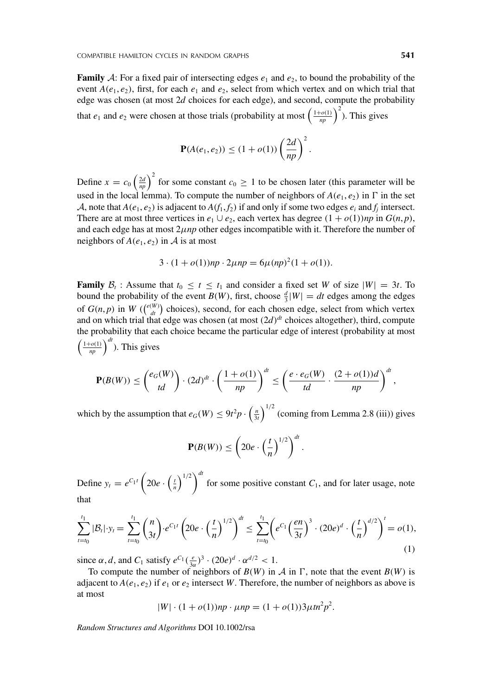**Family** A: For a fixed pair of intersecting edges  $e_1$  and  $e_2$ , to bound the probability of the event  $A(e_1, e_2)$ , first, for each  $e_1$  and  $e_2$ , select from which vertex and on which trial that edge was chosen (at most 2*d* choices for each edge), and second, compute the probability that  $e_1$  and  $e_2$  were chosen at those trials (probability at most  $\left(\frac{1+o(1)}{np}\right)^2$ ). This gives

$$
\mathbf{P}(A(e_1, e_2)) \le (1 + o(1)) \left(\frac{2d}{np}\right)^2.
$$

Define  $x = c_0 \left(\frac{2d}{np}\right)^2$  for some constant  $c_0 \ge 1$  to be chosen later (this parameter will be used in the local lemma). To compute the number of neighbors of  $A(e_1, e_2)$  in  $\Gamma$  in the set A, note that  $A(e_1, e_2)$  is adjacent to  $A(f_1, f_2)$  if and only if some two edges  $e_i$  and  $f_i$  intersect. There are at most three vertices in  $e_1 \cup e_2$ , each vertex has degree  $(1 + o(1))np$  in  $G(n, p)$ , and each edge has at most 2*μnp* other edges incompatible with it. Therefore the number of neighbors of  $A(e_1, e_2)$  in  $\mathcal A$  is at most

$$
3 \cdot (1 + o(1))np \cdot 2\mu np = 6\mu (np)^{2}(1 + o(1)).
$$

**Family**  $\mathcal{B}_t$ : Assume that  $t_0 \le t \le t_1$  and consider a fixed set *W* of size  $|W| = 3t$ . To bound the probability of the event *B*(*W*), first, choose  $\frac{d}{3}$ |*W*| = *dt* edges among the edges of  $G(n, p)$  in  $W\left(\binom{e(W)}{dt}$  choices), second, for each chosen edge, select from which vertex and on which trial that edge was chosen (at most *(*2*d)dt* choices altogether), third, compute the probability that each choice became the particular edge of interest (probability at most  $\left(\frac{1+o(1)}{np}\right)^{dt}$ ). This gives

$$
\mathbf{P}(B(W)) \le \binom{e_G(W)}{td} \cdot (2d)^{dt} \cdot \left(\frac{1+o(1)}{np}\right)^{dt} \le \left(\frac{e \cdot e_G(W)}{td} \cdot \frac{(2+o(1))d}{np}\right)^{dt},
$$

which by the assumption that  $e_G(W) \le 9t^2p \cdot \left(\frac{n}{3t}\right)^{1/2}$  (coming from Lemma 2.8 (iii)) gives

$$
\mathbf{P}(B(W)) \leq \left(20e \cdot \left(\frac{t}{n}\right)^{1/2}\right)^{dt}.
$$

Define  $y_t = e^{C_1 t} \left( 20e \cdot \left( \frac{t}{n} \right)^{1/2} \right)^{dt}$  for some positive constant  $C_1$ , and for later usage, note that

$$
\sum_{t=t_0}^{t_1} |\mathcal{B}_t| \cdot y_t = \sum_{t=t_0}^{t_1} {n \choose 3t} \cdot e^{C_1 t} \left( 20e \cdot \left( \frac{t}{n} \right)^{1/2} \right)^{dt} \le \sum_{t=t_0}^{t_1} \left( e^{C_1} \left( \frac{en}{3t} \right)^3 \cdot (20e)^d \cdot \left( \frac{t}{n} \right)^{d/2} \right)^t = o(1),\tag{1}
$$

since  $\alpha$ , *d*, and  $C_1$  satisfy  $e^{C_1} \left(\frac{e}{3\alpha}\right)^3 \cdot (20e)^d \cdot \alpha^{d/2} < 1$ .

To compute the number of neighbors of  $B(W)$  in  $\mathcal A$  in  $\Gamma$ , note that the event  $B(W)$  is adjacent to  $A(e_1, e_2)$  if  $e_1$  or  $e_2$  intersect *W*. Therefore, the number of neighbors as above is at most

$$
|W| \cdot (1 + o(1))np \cdot \mu np = (1 + o(1))3\mu tn^2p^2.
$$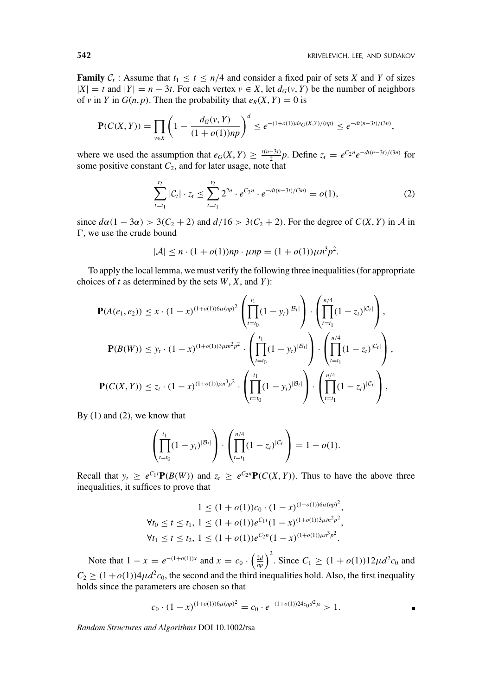**Family**  $C_t$ : Assume that  $t_1 \le t \le n/4$  and consider a fixed pair of sets *X* and *Y* of sizes  $|X| = t$  and  $|Y| = n - 3t$ . For each vertex  $v \in X$ , let  $d_G(v, Y)$  be the number of neighbors of *v* in *Y* in *G*(*n*, *p*). Then the probability that  $e_R(X, Y) = 0$  is

$$
\mathbf{P}(C(X,Y)) = \prod_{v \in X} \left(1 - \frac{d_G(v,Y)}{(1+o(1))np}\right)^d \leq e^{-(1+o(1))de_G(X,Y)/(np)} \leq e^{-dt(n-3t)/(3n)},
$$

where we used the assumption that  $e_G(X, Y) \ge \frac{t(n-3t)}{2}p$ . Define  $z_t = e^{C_2 n} e^{-dt(n-3t)/(3n)}$  for some positive constant  $C_2$ , and for later usage, note that

$$
\sum_{t=t_1}^{t_2} |\mathcal{C}_t| \cdot z_t \le \sum_{t=t_1}^{t_2} 2^{2n} \cdot e^{C_2 n} \cdot e^{-dt(n-3t)/(3n)} = o(1), \tag{2}
$$

since  $d\alpha(1 - 3\alpha) > 3(C_2 + 2)$  and  $d/16 > 3(C_2 + 2)$ . For the degree of  $C(X, Y)$  in A in  $\Gamma$ , we use the crude bound

$$
|\mathcal{A}| \le n \cdot (1 + o(1))np \cdot \mu np = (1 + o(1))\mu n^3 p^2.
$$

To apply the local lemma, we must verify the following three inequalities (for appropriate choices of *t* as determined by the sets *W*, *X*, and *Y*):

$$
\mathbf{P}(A(e_1, e_2)) \leq x \cdot (1-x)^{(1+o(1))6\mu(np)^2} \left( \prod_{t=t_0}^{t_1} (1-y_t)^{|\mathcal{B}_t|} \right) \cdot \left( \prod_{t=t_1}^{n/4} (1-z_t)^{|\mathcal{C}_t|} \right),
$$
  

$$
\mathbf{P}(B(W)) \leq y_t \cdot (1-x)^{(1+o(1))3\mu m^2 p^2} \cdot \left( \prod_{t=t_0}^{t_1} (1-y_t)^{|\mathcal{B}_t|} \right) \cdot \left( \prod_{t=t_1}^{n/4} (1-z_t)^{|\mathcal{C}_t|} \right),
$$
  

$$
\mathbf{P}(C(X, Y)) \leq z_t \cdot (1-x)^{(1+o(1))\mu m^3 p^2} \cdot \left( \prod_{t=t_0}^{t_1} (1-y_t)^{|\mathcal{B}_t|} \right) \cdot \left( \prod_{t=t_1}^{n/4} (1-z_t)^{|\mathcal{C}_t|} \right),
$$

By (1) and (2), we know that

$$
\left(\prod_{t=t_0}^{t_1}(1-y_t)^{|\mathcal{B}_t|}\right)\cdot\left(\prod_{t=t_1}^{n/4}(1-z_t)^{|\mathcal{C}_t|}\right)=1-o(1).
$$

Recall that  $y_t \ge e^{C_1 t} \mathbf{P}(B(W))$  and  $z_t \ge e^{C_2 n} \mathbf{P}(C(X, Y))$ . Thus to have the above three inequalities, it suffices to prove that

$$
1 \le (1 + o(1))c_0 \cdot (1 - x)^{(1 + o(1))6\mu(np)^2},
$$
  
\n
$$
\forall t_0 \le t \le t_1, 1 \le (1 + o(1))e^{C_1t}(1 - x)^{(1 + o(1))3\mu n^2 p^2},
$$
  
\n
$$
\forall t_1 \le t \le t_2, 1 \le (1 + o(1))e^{C_2n}(1 - x)^{(1 + o(1))\mu n^3 p^2}.
$$

Note that  $1 - x = e^{-(1 + o(1))x}$  and  $x = c_0 \cdot \left(\frac{2d}{np}\right)^2$ . Since  $C_1 \ge (1 + o(1))12\mu d^2c_0$  and  $C_2 \geq (1+o(1))4\mu d^2c_0$ , the second and the third inequalities hold. Also, the first inequality holds since the parameters are chosen so that

$$
c_0 \cdot (1-x)^{(1+o(1))6\mu(np)^2} = c_0 \cdot e^{-(1+o(1))24c_0d^2\mu} > 1.
$$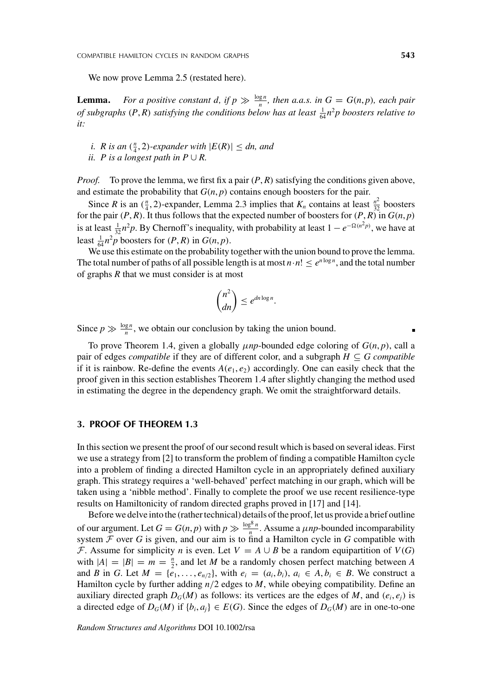We now prove Lemma 2.5 (restated here).

**Lemma.** *For a positive constant d, if*  $p \gg \frac{\log n}{n}$ *, then a.a.s. in*  $G = G(n, p)$ *, each pair of subgraphs*  $(P, R)$  *satisfying the conditions below has at least*  $\frac{1}{64}n^2p$  *boosters relative to it:*

- *i. R is an*  $(\frac{n}{4}, 2)$ *-expander with*  $|E(R)| \leq dn$ *, and*
- *ii. P* is a longest path in  $P \cup R$ .

*Proof.* To prove the lemma, we first fix a pair *(P*, *R)* satisfying the conditions given above, and estimate the probability that  $G(n, p)$  contains enough boosters for the pair.

Since *R* is an  $(\frac{n}{4}, 2)$ -expander, Lemma 2.3 implies that  $K_n$  contains at least  $\frac{n^2}{32}$  boosters for the pair  $(P, R)$ . It thus follows that the expected number of boosters for  $(P, R)$  in  $G(n, p)$ is at least  $\frac{1}{32}n^2p$ . By Chernoff's inequality, with probability at least  $1 - e^{-\Omega(n^2p)}$ , we have at least  $\frac{1}{64}n^2p$  boosters for  $(P, R)$  in  $G(n, p)$ .

We use this estimate on the probability together with the union bound to prove the lemma. The total number of paths of all possible length is at most  $n \cdot n! \leq e^{n \log n}$ , and the total number of graphs *R* that we must consider is at most

$$
\binom{n^2}{dn} \leq e^{dn \log n}.
$$

Since  $p \gg \frac{\log n}{n}$ , we obtain our conclusion by taking the union bound.

To prove Theorem 1.4, given a globally  $\mu np$ -bounded edge coloring of  $G(n, p)$ , call a pair of edges *compatible* if they are of different color, and a subgraph  $H \subseteq G$  *compatible* if it is rainbow. Re-define the events  $A(e_1, e_2)$  accordingly. One can easily check that the proof given in this section establishes Theorem 1.4 after slightly changing the method used in estimating the degree in the dependency graph. We omit the straightforward details.

### **3. PROOF OF THEOREM 1.3**

In this section we present the proof of our second result which is based on several ideas. First we use a strategy from [2] to transform the problem of finding a compatible Hamilton cycle into a problem of finding a directed Hamilton cycle in an appropriately defined auxiliary graph. This strategy requires a 'well-behaved' perfect matching in our graph, which will be taken using a 'nibble method'. Finally to complete the proof we use recent resilience-type results on Hamiltonicity of random directed graphs proved in [17] and [14].

Before we delve into the (rather technical) details of the proof, let us provide a brief outline of our argument. Let  $G = G(n, p)$  with  $p \gg \frac{\log^8 n}{n}$ . Assume a  $\mu np$ -bounded incomparability system  $F$  over  $G$  is given, and our aim is to find a Hamilton cycle in  $G$  compatible with F. Assume for simplicity *n* is even. Let  $V = A \cup B$  be a random equipartition of  $V(G)$ with  $|A|=|B|=m=\frac{n}{2}$ , and let *M* be a randomly chosen perfect matching between *A* and *B* in *G*. Let  $M = \{e_1, \ldots, e_{n/2}\}$ , with  $e_i = (a_i, b_i)$ ,  $a_i \in A, b_i \in B$ . We construct a Hamilton cycle by further adding *n/*2 edges to *M*, while obeying compatibility. Define an auxiliary directed graph  $D_G(M)$  as follows: its vertices are the edges of *M*, and  $(e_i, e_j)$  is a directed edge of  $D_G(M)$  if  $\{b_i, a_i\} \in E(G)$ . Since the edges of  $D_G(M)$  are in one-to-one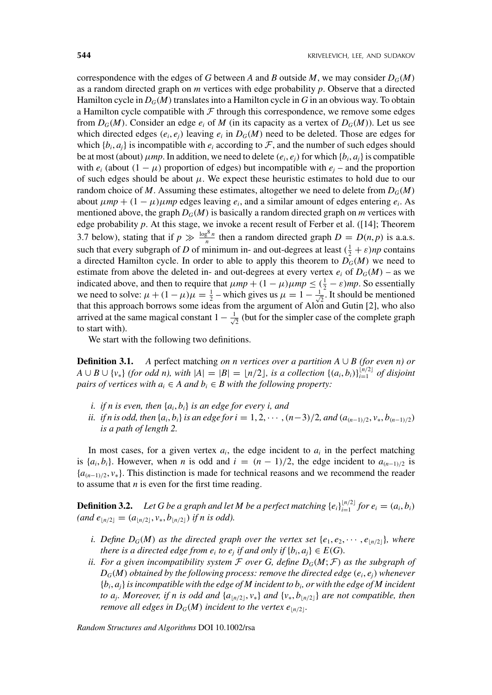correspondence with the edges of *G* between *A* and *B* outside *M*, we may consider  $D_G(M)$ as a random directed graph on *m* vertices with edge probability *p*. Observe that a directed Hamilton cycle in  $D_G(M)$  translates into a Hamilton cycle in G in an obvious way. To obtain a Hamilton cycle compatible with  $F$  through this correspondence, we remove some edges from  $D_G(M)$ . Consider an edge  $e_i$  of M (in its capacity as a vertex of  $D_G(M)$ ). Let us see which directed edges  $(e_i, e_j)$  leaving  $e_i$  in  $D_G(M)$  need to be deleted. Those are edges for which  $\{b_i, a_i\}$  is incompatible with  $e_i$  according to  $\mathcal F$ , and the number of such edges should be at most (about)  $\mu$ *mp*. In addition, we need to delete  $(e_i, e_j)$  for which  $\{b_i, a_j\}$  is compatible with  $e_i$  (about  $(1 - \mu)$ ) proportion of edges) but incompatible with  $e_j$  – and the proportion of such edges should be about  $\mu$ . We expect these heuristic estimates to hold due to our random choice of *M*. Assuming these estimates, altogether we need to delete from  $D_G(M)$ about  $\mu mp + (1 - \mu)\mu mp$  edges leaving  $e_i$ , and a similar amount of edges entering  $e_i$ . As mentioned above, the graph  $D_G(M)$  is basically a random directed graph on *m* vertices with edge probability *p*. At this stage, we invoke a recent result of Ferber et al. ([14]; Theorem 3.7 below), stating that if  $p \gg \frac{\log^8 n}{n}$  then a random directed graph  $D = D(n, p)$  is a.a.s. such that every subgraph of *D* of minimum in- and out-degrees at least  $(\frac{1}{2} + \varepsilon)np$  contains a directed Hamilton cycle. In order to able to apply this theorem to  $D_G(M)$  we need to estimate from above the deleted in- and out-degrees at every vertex  $e_i$  of  $D_G(M)$  – as we indicated above, and then to require that  $\mu mp + (1 - \mu)\mu mp \leq (\frac{1}{2} - \varepsilon)mp$ . So essentially we need to solve:  $\mu + (1 - \mu)\mu = \frac{1}{2}$  – which gives us  $\mu = 1 - \frac{1}{\sqrt{2}}$ . It should be mentioned that this approach borrows some ideas from the argument of Alon and Gutin [2], who also arrived at the same magical constant  $1 - \frac{1}{\sqrt{2}}$  (but for the simpler case of the complete graph to start with).

We start with the following two definitions.

**Definition 3.1.** *A* perfect matching *on n vertices over a partition A*  $\cup$  *B* (for even n) or *A* ∪ *B* ∪ {*v*<sub>\*</sub>} *(for odd n), with*  $|A| = |B| = \lfloor n/2 \rfloor$ *, is a collection* { $(a_i, b_i)$ } $_{i=1}^{\lfloor n/2 \rfloor}$  *of disjoint pairs of vertices with*  $a_i \in A$  *and*  $b_i \in B$  *with the following property:* 

- *i. if n is even, then* {*ai*, *bi*} *is an edge for every i, and*
- ii. if n is odd, then  $\{a_i, b_i\}$  is an edge for  $i = 1, 2, \dots, (n-3)/2$ , and  $(a_{(n-1)/2}, v_*, b_{(n-1)/2})$ *is a path of length 2.*

In most cases, for a given vertex  $a_i$ , the edge incident to  $a_i$  in the perfect matching is  $\{a_i, b_i\}$ . However, when *n* is odd and  $i = (n - 1)/2$ , the edge incident to  $a_{(n-1)/2}$  is {*a(n*−1*)/*2, *v*∗}. This distinction is made for technical reasons and we recommend the reader to assume that *n* is even for the first time reading.

**Definition 3.2.** Let G be a graph and let M be a perfect matching  $\{e_i\}_{i=1}^{\lfloor n/2 \rfloor}$  for  $e_i = (a_i, b_i)$  $(and e_{n/2} = (a_{n/2}, v_*, b_{n/2})$  *if n is odd).* 

- *i. Define D<sub>G</sub>*(*M*) *as the directed graph over the vertex set*  $\{e_1, e_2, \dots, e_{\lfloor n/2 \rfloor}\}$ *, where there is a directed edge from*  $e_i$  *<i>to*  $e_j$  *if and only if*  $\{b_i, a_j\} \in E(G)$ *.*
- *ii. For a given incompatibility system*  $\mathcal F$  *over*  $G$ *, define*  $D_G(M; \mathcal F)$  *as the subgraph of*  $D_G(M)$  *obtained by the following process: remove the directed edge*  $(e_i, e_j)$  *whenever*  ${b_i, a_j}$  *is incompatible with the edge of M incident to*  $b_i$ *, or with the edge of M incident to a<sub>i</sub>*. Moreover, if *n* is odd and  $\{a_{n/2}, v_*\}$  and  $\{v_*, b_{n/2}\}$  are not compatible, then *remove all edges in*  $D_G(M)$  *incident to the vertex e*<sub> $|n/2|$ </sub>.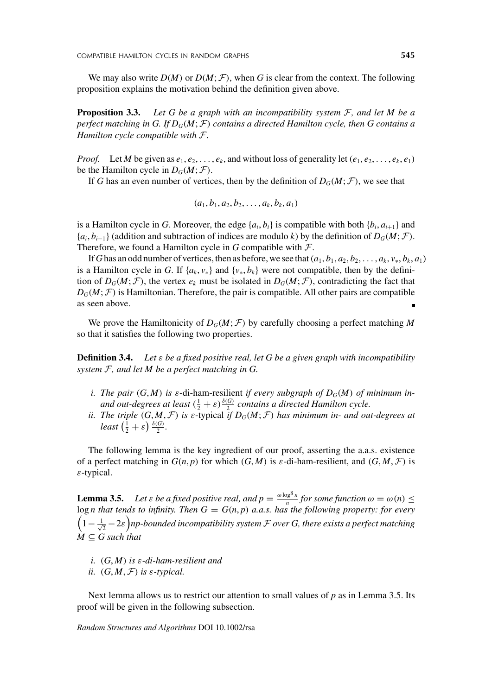We may also write  $D(M)$  or  $D(M; \mathcal{F})$ , when *G* is clear from the context. The following proposition explains the motivation behind the definition given above.

**Proposition 3.3.** *Let G be a graph with an incompatibility system* F*, and let M be a perfect matching in G. If DG(M*; F*) contains a directed Hamilton cycle, then G contains a Hamilton cycle compatible with* F*.*

*Proof.* Let *M* be given as  $e_1, e_2, \ldots, e_k$ , and without loss of generality let  $(e_1, e_2, \ldots, e_k, e_1)$ be the Hamilton cycle in  $D_G(M; \mathcal{F})$ .

If *G* has an even number of vertices, then by the definition of  $D_G(M; \mathcal{F})$ , we see that

$$
(a_1, b_1, a_2, b_2, \ldots, a_k, b_k, a_1)
$$

is a Hamilton cycle in *G*. Moreover, the edge  $\{a_i, b_i\}$  is compatible with both  $\{b_i, a_{i+1}\}$  and  ${a_i, b_{i-1}}$  (addition and subtraction of indices are modulo *k*) by the definition of *D<sub>G</sub>*(*M*; *F*). Therefore, we found a Hamilton cycle in  $G$  compatible with  $\mathcal{F}$ .

If G has an odd number of vertices, then as before, we see that  $(a_1, b_1, a_2, b_2, \ldots, a_k, v_*, b_k, a_1)$ is a Hamilton cycle in *G*. If  $\{a_k, v_*\}$  and  $\{v_*, b_k\}$  were not compatible, then by the definition of  $D_G(M; \mathcal{F})$ , the vertex  $e_k$  must be isolated in  $D_G(M; \mathcal{F})$ , contradicting the fact that  $D_G(M; \mathcal{F})$  is Hamiltonian. Therefore, the pair is compatible. All other pairs are compatible as seen above.

We prove the Hamiltonicity of  $D_G(M; \mathcal{F})$  by carefully choosing a perfect matching M so that it satisfies the following two properties.

**Definition 3.4.** *Let ε be a fixed positive real, let G be a given graph with incompatibility system* F*, and let M be a perfect matching in G.*

- *i. The pair*  $(G, M)$  *is*  $\varepsilon$ -di-ham-resilient *if every subgraph of*  $D_G(M)$  *of minimum inand out-degrees at least*  $(\frac{1}{2} + \varepsilon) \frac{\delta(G)}{2}$  *contains a directed Hamilton cycle.*
- *ii. The triple*  $(G, M, \mathcal{F})$  *is*  $\epsilon$ -typical *if*  $D_G(M; \mathcal{F})$  *has minimum in- and out-degrees at least*  $\left(\frac{1}{2} + \varepsilon\right) \frac{\delta(G)}{2}$ *.*

The following lemma is the key ingredient of our proof, asserting the a.a.s. existence of a perfect matching in  $G(n, p)$  for which  $(G, M)$  is  $\varepsilon$ -di-ham-resilient, and  $(G, M, \mathcal{F})$  is *ε*-typical.

**Lemma 3.5.** *Let ε be a fixed positive real, and*  $p = \frac{\omega \log^8 n}{n}$  *for some function*  $\omega = \omega(n) \le$ log *n* that tends to infinity. Then  $G = G(n, p)$  a.a.s. has the following property: for every  $\left(1-\frac{1}{\sqrt{2}}-2\varepsilon\right)$ np-bounded incompatibility system  ${\cal F}$  over G, there exists a perfect matching  $M \subseteq G$  such that

- *i. (G*, *M) is ε-di-ham-resilient and*
- *ii.*  $(G, M, \mathcal{F})$  *is*  $\varepsilon$ *-typical.*

Next lemma allows us to restrict our attention to small values of *p* as in Lemma 3.5. Its proof will be given in the following subsection.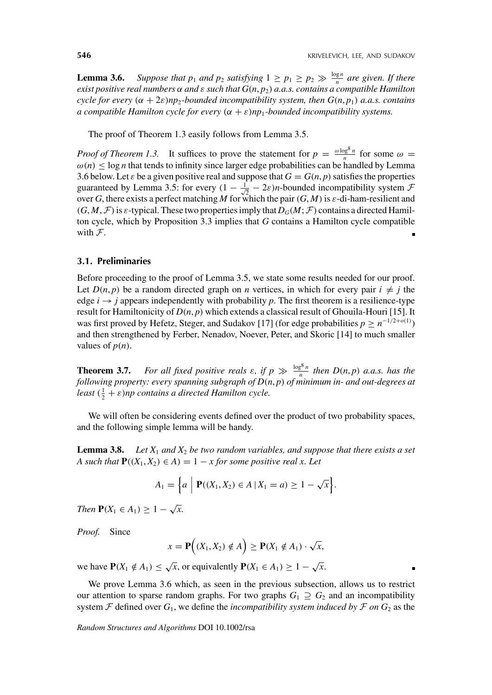**Lemma 3.6.** *Suppose that p*<sub>1</sub> *and p*<sub>2</sub> *satisfying*  $1 \ge p_1 \ge p_2 \gg \frac{\log n}{n}$  *are given. If there exist positive real numbers α and ε such that G(n*, *p*2*) a.a.s. contains a compatible Hamilton cycle for every*  $(\alpha + 2\varepsilon)np_2$ -bounded incompatibility system, then  $G(n, p_1)$  *a.a.s. contains a compatible Hamilton cycle for every*  $(\alpha + \varepsilon)np_1$ -bounded incompatibility systems.

The proof of Theorem 1.3 easily follows from Lemma 3.5.

*Proof of Theorem 1.3.* It suffices to prove the statement for  $p = \frac{\omega \log^8 n}{n}$  for some  $\omega =$  $\omega(n) \leq \log n$  that tends to infinity since larger edge probabilities can be handled by Lemma 3.6 below. Let  $\varepsilon$  be a given positive real and suppose that  $G = G(n, p)$  satisfies the properties guaranteed by Lemma 3.5: for every  $(1 - \frac{1}{\sqrt{2}} - 2\varepsilon)n$ -bounded incompatibility system  $\mathcal{F}$ over *G*, there exists a perfect matching *M* for which the pair  $(G, M)$  is  $\varepsilon$ -di-ham-resilient and  $(G, M, \mathcal{F})$  is *ε*-typical. These two properties imply that  $D_G(M; \mathcal{F})$  contains a directed Hamilton cycle, which by Proposition 3.3 implies that *G* contains a Hamilton cycle compatible with  $F$ .

### **3.1. Preliminaries**

Before proceeding to the proof of Lemma 3.5, we state some results needed for our proof. Let  $D(n, p)$  be a random directed graph on *n* vertices, in which for every pair  $i \neq j$  the edge  $i \rightarrow j$  appears independently with probability p. The first theorem is a resilience-type result for Hamiltonicity of *D(n*, *p)* which extends a classical result of Ghouila-Houri [15]. It was first proved by Hefetz, Steger, and Sudakov [17] (for edge probabilities  $p \ge n^{-1/2 + o(1)}$ ) and then strengthened by Ferber, Nenadov, Noever, Peter, and Skoric [14] to much smaller values of  $p(n)$ .

**Theorem 3.7.** *For all fixed positive reals*  $\varepsilon$ *, if*  $p \gg \frac{\log^8 n}{n}$  *then*  $D(n, p)$  *a.a.s.* has the *following property: every spanning subgraph of D(n*, *p) of minimum in- and out-degrees at least*  $(\frac{1}{2} + \varepsilon)$ *np contains a directed Hamilton cycle.* 

We will often be considering events defined over the product of two probability spaces, and the following simple lemma will be handy.

**Lemma 3.8.** *Let X*<sup>1</sup> *and X*<sup>2</sup> *be two random variables, and suppose that there exists a set A such that*  $P((X_1, X_2) \in A) = 1 - x$  *for some positive real x. Let* 

$$
A_1 = \Big\{ a \ \Big| \ \mathbf{P}((X_1, X_2) \in A \ | \ X_1 = a) \geq 1 - \sqrt{x} \Big\}.
$$

*Then*  $P(X_1 \in A_1) \geq 1 - \sqrt{x}$ .

*Proof.* Since

$$
x = \mathbf{P}\Big((X_1, X_2) \notin A\Big) \ge \mathbf{P}(X_1 \notin A_1) \cdot \sqrt{x},
$$

we have  $P(X_1 \notin A_1) \leq \sqrt{x}$ , or equivalently  $P(X_1 \in A_1) \geq 1 - \sqrt{x}$ .

We prove Lemma 3.6 which, as seen in the previous subsection, allows us to restrict our attention to sparse random graphs. For two graphs  $G_1 \supseteq G_2$  and an incompatibility system  $\mathcal F$  defined over  $G_1$ , we define the *incompatibility system induced by*  $\mathcal F$  *on*  $G_2$  as the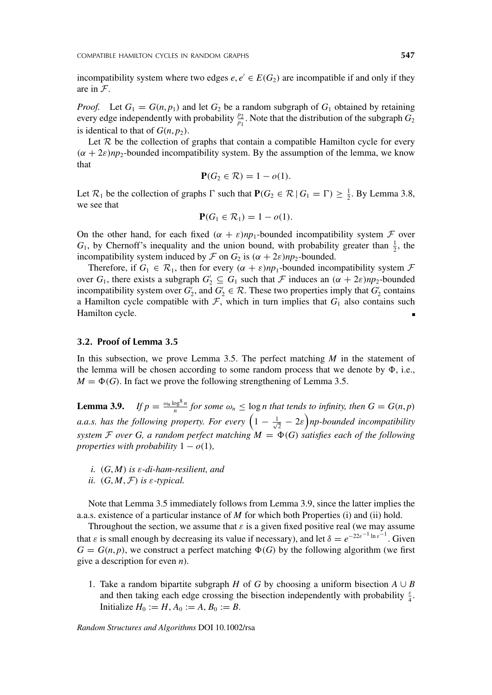incompatibility system where two edges  $e, e' \in E(G_2)$  are incompatible if and only if they are in F.

*Proof.* Let  $G_1 = G(n, p_1)$  and let  $G_2$  be a random subgraph of  $G_1$  obtained by retaining every edge independently with probability  $\frac{p_2}{p_1}$ . Note that the distribution of the subgraph  $G_2$ is identical to that of  $G(n, p_2)$ .

Let  $R$  be the collection of graphs that contain a compatible Hamilton cycle for every  $(\alpha + 2\varepsilon)np_2$ -bounded incompatibility system. By the assumption of the lemma, we know that

$$
\mathbf{P}(G_2 \in \mathcal{R}) = 1 - o(1).
$$

Let  $\mathcal{R}_1$  be the collection of graphs  $\Gamma$  such that  $P(G_2 \in \mathcal{R} | G_1 = \Gamma) \ge \frac{1}{2}$ . By Lemma 3.8, we see that

$$
\mathbf{P}(G_1 \in \mathcal{R}_1) = 1 - o(1).
$$

On the other hand, for each fixed  $(\alpha + \varepsilon)n p_1$ -bounded incompatibility system  $\mathcal F$  over  $G_1$ , by Chernoff's inequality and the union bound, with probability greater than  $\frac{1}{2}$ , the incompatibility system induced by  $\mathcal F$  on  $G_2$  is  $(\alpha + 2\varepsilon)np_2$ -bounded.

Therefore, if  $G_1 \in \mathcal{R}_1$ , then for every  $(\alpha + \varepsilon)np_1$ -bounded incompatibility system  $\mathcal F$ over  $G_1$ , there exists a subgraph  $G_2 \subseteq G_1$  such that  $\mathcal F$  induces an  $(\alpha + 2\varepsilon)np_2$ -bounded incompatibility system over  $G_2'$ , and  $G_2' \in \mathcal{R}$ . These two properties imply that  $G_2'$  contains a Hamilton cycle compatible with  $F$ , which in turn implies that  $G_1$  also contains such Hamilton cycle.

#### **3.2. Proof of Lemma 3.5**

In this subsection, we prove Lemma 3.5. The perfect matching *M* in the statement of the lemma will be chosen according to some random process that we denote by  $\Phi$ , i.e.,  $M = \Phi(G)$ . In fact we prove the following strengthening of Lemma 3.5.

**Lemma 3.9.** *If*  $p = \frac{\omega_n \log^8 n}{n}$  for some  $\omega_n \leq \log n$  that tends to infinity, then  $G = G(n, p)$ *a.a.s. has the following property. For every*  $\left(1 - \frac{1}{\sqrt{2}} - 2\varepsilon\right)$ *np-bounded incompatibility system*  $\mathcal F$  *over*  $G$ , a random perfect matching  $M = \Phi(G)$  satisfies each of the following *properties with probability*  $1 - o(1)$ *,* 

- *i. (G*, *M) is ε-di-ham-resilient, and*
- *ii.*  $(G, M, \mathcal{F})$  *is*  $\varepsilon$ *-typical.*

Note that Lemma 3.5 immediately follows from Lemma 3.9, since the latter implies the a.a.s. existence of a particular instance of *M* for which both Properties (i) and (ii) hold.

Throughout the section, we assume that  $\varepsilon$  is a given fixed positive real (we may assume that *ε* is small enough by decreasing its value if necessary), and let  $\delta = e^{-22\epsilon^{-1} \ln \epsilon^{-1}}$ . Given  $G = G(n, p)$ , we construct a perfect matching  $\Phi(G)$  by the following algorithm (we first give a description for even *n*).

1. Take a random bipartite subgraph *H* of *G* by choosing a uniform bisection  $A \cup B$ and then taking each edge crossing the bisection independently with probability *<sup>ε</sup>* 4 . Initialize  $H_0 := H, A_0 := A, B_0 := B$ .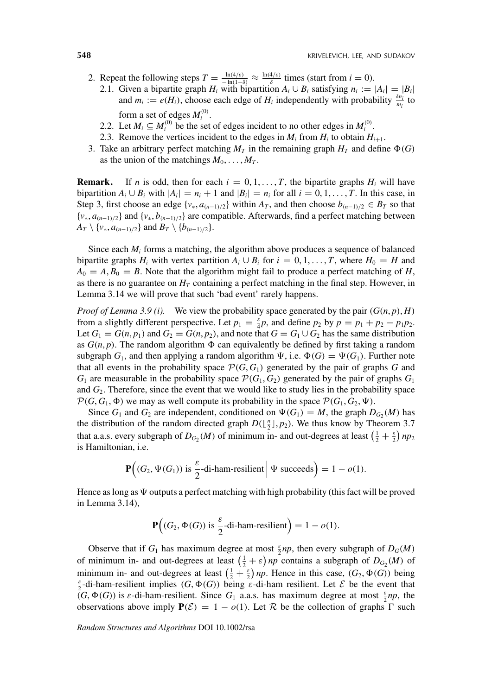- 2. Repeat the following steps  $T = \frac{\ln(4/\varepsilon)}{-\ln(1-\delta)} \approx \frac{\ln(4/\varepsilon)}{\delta}$  times (start from  $i = 0$ ).
	- 2.1. Given a bipartite graph *H<sub>i</sub>* with bipartition  $A_i \cup B_i$  satisfying  $n_i := |A_i| = |B_i|$ and  $m_i := e(H_i)$ , choose each edge of  $H_i$  independently with probability  $\frac{\delta n_i}{m_i}$  to form a set of edges  $M_i^{(0)}$ .
	- 2.2. Let  $M_i \subseteq M_i^{(0)}$  be the set of edges incident to no other edges in  $M_i^{(0)}$ .
	- 2.3. Remove the vertices incident to the edges in  $M_i$  from  $H_i$  to obtain  $H_{i+1}$ .
- 3. Take an arbitrary perfect matching  $M_T$  in the remaining graph  $H_T$  and define  $\Phi(G)$ as the union of the matchings  $M_0, \ldots, M_T$ .

**Remark.** If *n* is odd, then for each  $i = 0, 1, \ldots, T$ , the bipartite graphs  $H_i$  will have bipartition  $A_i \cup B_i$  with  $|A_i| = n_i + 1$  and  $|B_i| = n_i$  for all  $i = 0, 1, \ldots, T$ . In this case, in Step 3, first choose an edge  $\{v_*, a_{(n-1)/2}\}\$  within  $A_T$ , and then choose  $b_{(n-1)/2} \in B_T$  so that {*v*∗, *a(n*−1*)/*2} and {*v*∗, *b(n*−1*)/*2} are compatible. Afterwards, find a perfect matching between  $A_T \setminus \{v_*, a_{(n-1)/2}\}$  and  $B_T \setminus \{b_{(n-1)/2}\}.$ 

Since each  $M_i$  forms a matching, the algorithm above produces a sequence of balanced bipartite graphs *H<sub>i</sub>* with vertex partition  $A_i \cup B_i$  for  $i = 0, 1, \ldots, T$ , where  $H_0 = H$  and  $A_0 = A, B_0 = B$ . Note that the algorithm might fail to produce a perfect matching of *H*, as there is no guarantee on  $H<sub>T</sub>$  containing a perfect matching in the final step. However, in Lemma 3.14 we will prove that such 'bad event' rarely happens.

*Proof of Lemma 3.9 (i).* We view the probability space generated by the pair  $(G(n, p), H)$ from a slightly different perspective. Let  $p_1 = \frac{\varepsilon}{4}p$ , and define  $p_2$  by  $p = p_1 + p_2 - p_1p_2$ . Let  $G_1 = G(n, p_1)$  and  $G_2 = G(n, p_2)$ , and note that  $G = G_1 \cup G_2$  has the same distribution as  $G(n, p)$ . The random algorithm  $\Phi$  can equivalently be defined by first taking a random subgraph  $G_1$ , and then applying a random algorithm  $\Psi$ , i.e.  $\Phi(G) = \Psi(G_1)$ . Further note that all events in the probability space  $\mathcal{P}(G, G_1)$  generated by the pair of graphs *G* and  $G_1$  are measurable in the probability space  $\mathcal{P}(G_1, G_2)$  generated by the pair of graphs  $G_1$ and  $G_2$ . Therefore, since the event that we would like to study lies in the probability space  $\mathcal{P}(G, G_1, \Phi)$  we may as well compute its probability in the space  $\mathcal{P}(G_1, G_2, \Psi)$ .

Since  $G_1$  and  $G_2$  are independent, conditioned on  $\Psi(G_1) = M$ , the graph  $D_{G_2}(M)$  has the distribution of the random directed graph  $D(\lfloor \frac{n}{2} \rfloor, p_2)$ . We thus know by Theorem 3.7 that a.a.s. every subgraph of  $D_{G_2}(M)$  of minimum in- and out-degrees at least  $(\frac{1}{2} + \frac{\epsilon}{2}) np_2$ is Hamiltonian, i.e.

$$
\mathbf{P}\Big((G_2, \Psi(G_1)) \text{ is } \frac{\varepsilon}{2} \text{-di-ham-resilient } \Big| \Psi \text{ succeeds} \Big) = 1 - o(1).
$$

Hence as long as  $\Psi$  outputs a perfect matching with high probability (this fact will be proved in Lemma 3.14),

$$
\mathbf{P}\Big((G_2, \Phi(G)) \text{ is } \frac{\varepsilon}{2} \text{-di-ham-resilient} \Big) = 1 - o(1).
$$

Observe that if  $G_1$  has maximum degree at most  $\frac{\varepsilon}{2}np$ , then every subgraph of  $D_G(M)$ of minimum in- and out-degrees at least  $\left(\frac{1}{2} + \varepsilon\right) np$  contains a subgraph of  $D_{G_2}(M)$  of minimum in- and out-degrees at least  $\left(\frac{1}{2} + \frac{\varepsilon}{2}\right) np$ . Hence in this case,  $(G_2, \Phi(G))$  being<br>  $\varepsilon$  di ham resilient implies  $(G, \Phi(G))$  being *c* di ham resilient. Let  $S$  be the event that  $\frac{2}{2}$ -di-ham-resilient implies *(G,*  $\Phi$ *(G))* being *ε*-di-ham resilient. Let *E* be the event that  $(G, \Phi(G))$  is *ε*-di-ham-resilient. Since  $G_1$  a.a.s. has maximum degree at most  $\frac{\varepsilon}{2}np$ , the observations above imply  $P(\mathcal{E}) = 1 - o(1)$ . Let R be the collection of graphs  $\Gamma$  such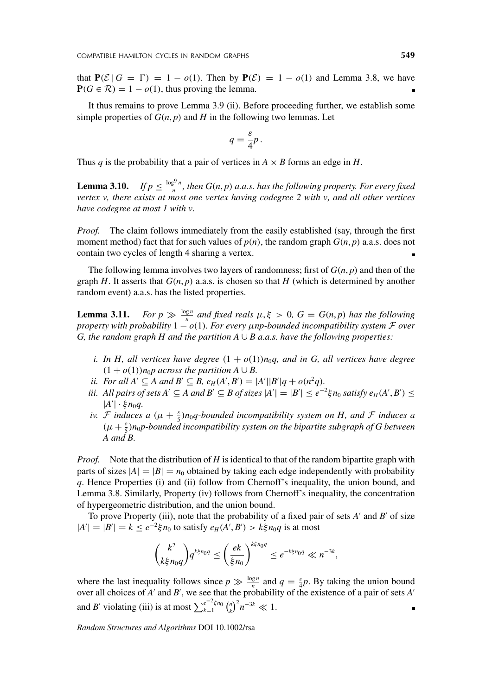that  $P(\mathcal{E} | G = \Gamma) = 1 - o(1)$ . Then by  $P(\mathcal{E}) = 1 - o(1)$  and Lemma 3.8, we have  $P(G \in \mathcal{R}) = 1 - o(1)$ , thus proving the lemma.

It thus remains to prove Lemma 3.9 (ii). Before proceeding further, we establish some simple properties of  $G(n, p)$  and  $H$  in the following two lemmas. Let

$$
q = \frac{\varepsilon}{4}p.
$$

Thus *q* is the probability that a pair of vertices in  $A \times B$  forms an edge in *H*.

**Lemma 3.10.** *If*  $p \leq \frac{\log^9 n}{n}$ , then  $G(n, p)$  *a.a.s. has the following property. For every fixed vertex v, there exists at most one vertex having codegree 2 with v, and all other vertices have codegree at most 1 with v.*

*Proof.* The claim follows immediately from the easily established (say, through the first moment method) fact that for such values of  $p(n)$ , the random graph  $G(n, p)$  a.a.s. does not contain two cycles of length 4 sharing a vertex.

The following lemma involves two layers of randomness; first of  $G(n, p)$  and then of the graph  $H$ . It asserts that  $G(n, p)$  a.a.s. is chosen so that  $H$  (which is determined by another random event) a.a.s. has the listed properties.

**Lemma 3.11.** *For*  $p \gg \frac{\log n}{n}$  *and fixed reals*  $\mu, \xi > 0$ ,  $G = G(n, p)$  *has the following property with probability* 1 − *o(*1*). For every μnp-bounded incompatibility system* F *over G, the random graph H and the partition A*  $\cup$  *B a.a.s. have the following properties:* 

- *i. In H, all vertices have degree*  $(1 + o(1))n_0q$ , and in G, all vertices have degree  $(1 + o(1))n_0p$  across the partition  $A \cup B$ .
- *ii. For all*  $A' \subseteq A$  *and*  $B' \subseteq B$ *,*  $e_H(A', B') = |A'||B'|q + o(n^2q)$ *.*
- *iii.* All pairs of sets  $A' \subseteq A$  and  $B' \subseteq B$  of sizes  $|A'| = |B'| \le e^{-2} \xi n_0$  satisfy  $e_H(A', B') \le$  $|A'|$  · ξ $n_0q$ .
- *iv. F induces a*  $(\mu + \frac{\varepsilon}{5})n_0q$ -bounded incompatibility system on H, and *F induces a (μ* + *<sup>ε</sup>* <sup>5</sup> *)n*0*p-bounded incompatibility system on the bipartite subgraph of G between A and B.*

*Proof.* Note that the distribution of *H* is identical to that of the random bipartite graph with parts of sizes  $|A|=|B|=n_0$  obtained by taking each edge independently with probability *q*. Hence Properties (i) and (ii) follow from Chernoff's inequality, the union bound, and Lemma 3.8. Similarly, Property (iv) follows from Chernoff's inequality, the concentration of hypergeometric distribution, and the union bound.

To prove Property (iii), note that the probability of a fixed pair of sets *A'* and *B'* of size  $|A'| = |B'| = k \le e^{-2} \xi n_0$  to satisfy  $e_H(A', B') > k \xi n_0 q$  is at most

$$
\binom{k^2}{k\xi n_0q}q^{k\xi n_0q}\leq \left(\frac{ek}{\xi n_0}\right)^{k\xi n_0q}\leq e^{-k\xi n_0q}\ll n^{-3k},
$$

where the last inequality follows since  $p \gg \frac{\log n}{n}$  and  $q = \frac{\varepsilon}{4}p$ . By taking the union bound over all choices of *A'* and *B'*, we see that the probability of the existence of a pair of sets *A'* and *B'* violating (iii) is at most  $\sum_{k=1}^{e^{-2} \xi n_0} {n \choose k}^2 n^{-3k} \ll 1$ .  $\blacksquare$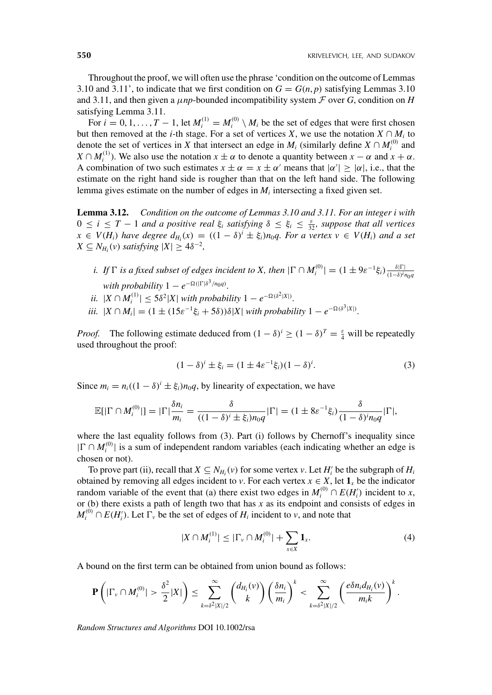Throughout the proof, we will often use the phrase 'condition on the outcome of Lemmas 3.10 and 3.11', to indicate that we first condition on  $G = G(n, p)$  satisfying Lemmas 3.10 and 3.11, and then given a  $\mu np$ -bounded incompatibility system  $\mathcal F$  over *G*, condition on *H* satisfying Lemma 3.11.

For  $i = 0, 1, ..., T - 1$ , let  $M_i^{(1)} = M_i^{(0)} \setminus M_i$  be the set of edges that were first chosen but then removed at the *i*-th stage. For a set of vertices *X*, we use the notation  $X \cap M_i$  to denote the set of vertices in *X* that intersect an edge in  $M_i$  (similarly define  $X \cap M_i^{(0)}$  and *X*  $\cap$  *M*<sup>(1)</sup>). We also use the notation *x*  $\pm \alpha$  to denote a quantity between *x* −  $\alpha$  and *x* +  $\alpha$ . A combination of two such estimates  $x \pm \alpha = x \pm \alpha'$  means that  $|\alpha'| \geq |\alpha|$ , i.e., that the estimate on the right hand side is rougher than that on the left hand side. The following lemma gives estimate on the number of edges in  $M_i$  intersecting a fixed given set.

**Lemma 3.12.** *Condition on the outcome of Lemmas 3.10 and 3.11. For an integer i with*  $0 \leq i \leq T-1$  *and a positive real*  $\xi_i$  *satisfying*  $\delta \leq \xi_i \leq \frac{\varepsilon}{32}$ *, suppose that all vertices*  $x \in V(H_i)$  have degree  $d_{H_i}(x) = ((1 - \delta)^i \pm \xi_i)n_0q$ . For a vertex  $v \in V(H_i)$  and a set  $X \subseteq N_{H_i}(v)$  *satisfying*  $|X| \geq 4\delta^{-2}$ ,

- *i. If*  $\Gamma$  *is a fixed subset of edges incident to X, then*  $|\Gamma \cap M_i^{(0)}| = (1 \pm 9\varepsilon^{-1}\xi_i) \frac{\delta|\Gamma|}{(1-\delta)^i n_0 q}$ *with probability*  $1 - e^{-\Omega(|\Gamma|\delta^3/n_0q)}$ .
- *ii.*  $|X \cap M_i^{(1)}| \le 5\delta^2 |X|$  *with probability*  $1 e^{-\Omega(\delta^2 |X|)}$ .
- *iii.*  $|X \cap M_i| = (1 \pm (15\varepsilon^{-1}\xi_i + 5\delta))\delta|X|$  *with probability*  $1 e^{-\Omega(\delta^3|X|)}$ .

*Proof.* The following estimate deduced from  $(1 - \delta)^i \ge (1 - \delta)^T = \frac{\epsilon}{4}$  will be repeatedly used throughout the proof:

$$
(1 - \delta)^{i} \pm \xi_{i} = (1 \pm 4\varepsilon^{-1}\xi_{i})(1 - \delta)^{i}.
$$
 (3)

Since  $m_i = n_i((1 - \delta)^i \pm \xi_i)n_0q$ , by linearity of expectation, we have

$$
\mathbb{E}[|\Gamma \cap M_i^{(0)}|] = |\Gamma| \frac{\delta n_i}{m_i} = \frac{\delta}{((1-\delta)^i \pm \xi_i)n_0 q} |\Gamma| = (1 \pm 8\varepsilon^{-1}\xi_i) \frac{\delta}{(1-\delta)^i n_0 q} |\Gamma|,
$$

where the last equality follows from (3). Part (i) follows by Chernoff's inequality since  $|\Gamma \cap M_i^{(0)}|$  is a sum of independent random variables (each indicating whether an edge is chosen or not).

To prove part (ii), recall that  $X \subseteq N_{H_i}(v)$  for some vertex *v*. Let  $H_i'$  be the subgraph of  $H_i$ obtained by removing all edges incident to *v*. For each vertex  $x \in X$ , let  $\mathbf{1}_x$  be the indicator random variable of the event that (a) there exist two edges in  $M_i^{(0)} \cap E(H_i')$  incident to *x*, or (b) there exists a path of length two that has *x* as its endpoint and consists of edges in  $M_i^{(0)} \cap E(H_i')$ . Let  $\Gamma_v$  be the set of edges of  $H_i$  incident to *v*, and note that

$$
|X \cap M_i^{(1)}| \leq |\Gamma_v \cap M_i^{(0)}| + \sum_{x \in X} \mathbf{1}_x. \tag{4}
$$

A bound on the first term can be obtained from union bound as follows:

$$
\mathbf{P}\left(|\Gamma_v \cap M_i^{(0)}| > \frac{\delta^2}{2}|X|\right) \leq \sum_{k=\delta^2|X|/2}^{\infty} {d_{H_i}(v) \choose k} \left(\frac{\delta n_i}{m_i}\right)^k < \sum_{k=\delta^2|X|/2}^{\infty} \left(\frac{e^{\delta n_i d_{H_i}(v)}}{m_i k}\right)^k.
$$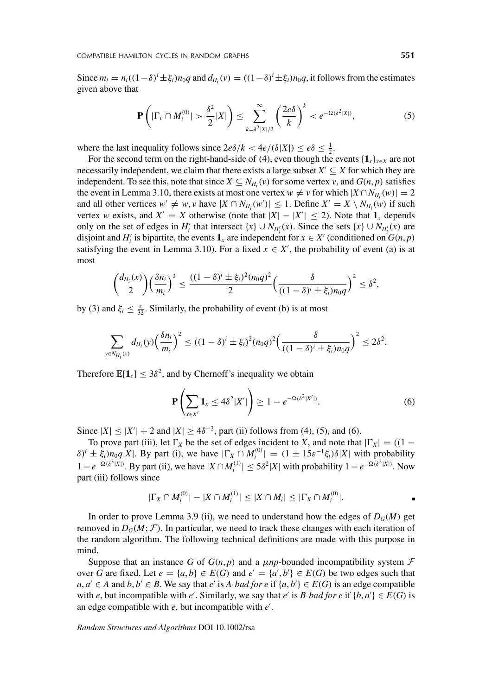Since  $m_i = n_i((1-\delta)^i \pm \xi_i)n_0q$  and  $d_{H_i}(v) = ((1-\delta)^i \pm \xi_i)n_0q$ , it follows from the estimates given above that

$$
\mathbf{P}\left(|\Gamma_{\nu}\cap M_i^{(0)}|>\frac{\delta^2}{2}|X|\right)\leq \sum_{k=\delta^2|X|/2}^{\infty}\left(\frac{2e\delta}{k}\right)^k
$$

where the last inequality follows since  $2e\delta/k < 4e/(\delta|X|) \le e\delta \le \frac{1}{2}$ .

For the second term on the right-hand-side of (4), even though the events  $\{\mathbf{1}_x\}_{x \in X}$  are not necessarily independent, we claim that there exists a large subset  $X' \subseteq X$  for which they are independent. To see this, note that since  $X \subseteq N_{H_i}(v)$  for some vertex *v*, and  $G(n, p)$  satisfies the event in Lemma 3.10, there exists at most one vertex  $w \neq v$  for which  $|X \cap N_{H_i}(w)| = 2$ and all other vertices  $w' \neq w$ , *v* have  $|X \cap N_{H_i}(w')| \leq 1$ . Define  $X' = X \setminus N_{H_i}(w)$  if such vertex *w* exists, and  $X' = X$  otherwise (note that  $|X| - |X'| \le 2$ ). Note that  $\mathbf{1}_x$  depends only on the set of edges in  $H'_i$  that intersect  $\{x\} \cup N_{H'_i}(x)$ . Since the sets  $\{x\} \cup N_{H'_i}(x)$  are disjoint and  $H'_i$  is bipartite, the events  $\mathbf{1}_x$  are independent for  $x \in X'$  (conditioned on  $G(n, p)$ satisfying the event in Lemma 3.10). For a fixed  $x \in X'$ , the probability of event (a) is at most

$$
{\binom{d_{H_i}(x)}{2}} {\frac{\delta n_i}{m_i}}^2 \leq \frac{((1-\delta)^i \pm \xi_i)^2 (n_0 q)^2}{2} {\left(\frac{\delta}{((1-\delta)^i \pm \xi_i)n_0 q}\right)}^2 \leq \delta^2,
$$

by (3) and  $\xi_i \leq \frac{\varepsilon}{32}$ . Similarly, the probability of event (b) is at most

$$
\sum_{y \in N_{H_i}(x)} d_{H_i}(y) \left(\frac{\delta n_i}{m_i}\right)^2 \le ((1-\delta)^i \pm \xi_i)^2 (n_0 q)^2 \left(\frac{\delta}{((1-\delta)^i \pm \xi_i)n_0 q}\right)^2 \le 2\delta^2.
$$

Therefore  $\mathbb{E}[\mathbf{1}_x] \leq 3\delta^2$ , and by Chernoff's inequality we obtain

$$
\mathbf{P}\left(\sum_{x\in X'}\mathbf{1}_x\leq 4\delta^2|X'|\right)\geq 1-e^{-\Omega(\delta^2|X'|)}.
$$
\n(6)

Since  $|X| \le |X'| + 2$  and  $|X| \ge 4\delta^{-2}$ , part (ii) follows from (4), (5), and (6).

To prove part (iii), let  $\Gamma_X$  be the set of edges incident to *X*, and note that  $|\Gamma_X| = ((1 (\delta)^i \pm \xi_i$ , *n*<sub>0</sub>*q*</sup>|*X*|. By part (i), we have  $|\Gamma_X \cap M_i^{(0)}| = (1 \pm 15\epsilon^{-1}\xi_i)\delta|X|$  with probability  $1 - e^{-Ω(δ<sup>3</sup>|X|)}$ . By part (ii), we have  $|X ∩ M_i^{(1)}|$  ≤ 5 $δ<sup>2</sup>|X|$  with probability  $1 - e^{-Ω(δ<sup>2</sup>|X|)}$ . Now part (iii) follows since

$$
|\Gamma_X \cap M_i^{(0)}| - |X \cap M_i^{(1)}| \leq |X \cap M_i| \leq |\Gamma_X \cap M_i^{(0)}|.
$$

In order to prove Lemma 3.9 (ii), we need to understand how the edges of  $D_G(M)$  get removed in  $D_G(M; \mathcal{F})$ . In particular, we need to track these changes with each iteration of the random algorithm. The following technical definitions are made with this purpose in mind.

Suppose that an instance *G* of  $G(n, p)$  and a  $\mu np$ -bounded incompatibility system  $\mathcal F$ over *G* are fixed. Let  $e = \{a, b\} \in E(G)$  and  $e' = \{a', b'\} \in E(G)$  be two edges such that *a*, *a*<sup> $\prime$ </sup> ∈ *A* and *b*, *b*<sup> $\prime$ </sup> ∈ *B*. We say that *e*<sup> $\prime$ </sup> is *A-bad for e* if {*a*, *b*'} ∈ *E*(*G*) is an edge compatible with *e*, but incompatible with *e'*. Similarly, we say that *e'* is *B-bad for e* if  $\{b, a'\} \in E(G)$  is an edge compatible with *e*, but incompatible with *e* .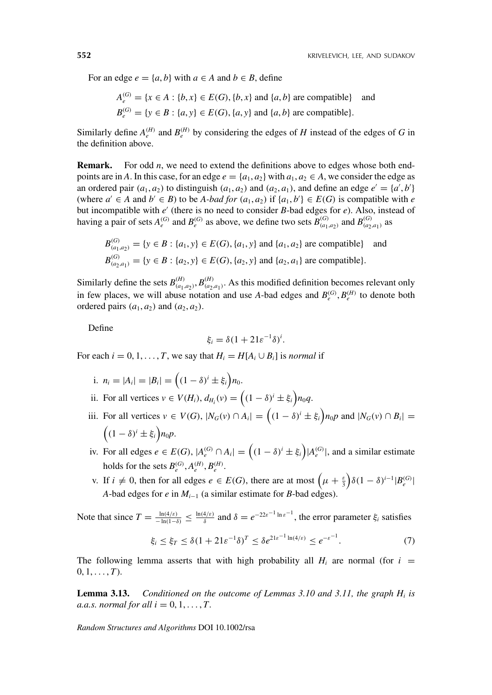For an edge  $e = \{a, b\}$  with  $a \in A$  and  $b \in B$ , define

$$
A_e^{(G)} = \{x \in A : \{b, x\} \in E(G), \{b, x\} \text{ and } \{a, b\} \text{ are compatible} \}
$$
 and  

$$
B_e^{(G)} = \{y \in B : \{a, y\} \in E(G), \{a, y\} \text{ and } \{a, b\} \text{ are compatible} \}.
$$

Similarly define  $A_e^{(H)}$  and  $B_e^{(H)}$  by considering the edges of *H* instead of the edges of *G* in the definition above.

**Remark.** For odd *n*, we need to extend the definitions above to edges whose both endpoints are in *A*. In this case, for an edge  $e = \{a_1, a_2\}$  with  $a_1, a_2 \in A$ , we consider the edge as an ordered pair  $(a_1, a_2)$  to distinguish  $(a_1, a_2)$  and  $(a_2, a_1)$ , and define an edge  $e' = \{a', b'\}$ (where  $a' \in A$  and  $b' \in B$ ) to be *A-bad for*  $(a_1, a_2)$  if  $\{a_1, b'\} \in E(G)$  is compatible with *e* but incompatible with  $e'$  (there is no need to consider  $B$ -bad edges for  $e$ ). Also, instead of having a pair of sets  $A_e^{(G)}$  and  $B_e^{(G)}$  as above, we define two sets  $B_{(a_1,a_2)}^{(G)}$  and  $B_{(a_2,a_1)}^{(G)}$  as

$$
B_{(a_1, a_2)}^{(G)} = \{y \in B : \{a_1, y\} \in E(G), \{a_1, y\} \text{ and } \{a_1, a_2\} \text{ are compatible} \}
$$
 and  

$$
B_{(a_2, a_1)}^{(G)} = \{y \in B : \{a_2, y\} \in E(G), \{a_2, y\} \text{ and } \{a_2, a_1\} \text{ are compatible} \}.
$$

Similarly define the sets  $B^{(H)}_{(a_1,a_2)}, B^{(H)}_{(a_2,a_1)}$ . As this modified definition becomes relevant only in few places, we will abuse notation and use *A*-bad edges and  $B_e^{(G)}$ ,  $B_e^{(H)}$  to denote both ordered pairs  $(a_1, a_2)$  and  $(a_2, a_2)$ .

Define

$$
\xi_i = \delta (1 + 21 \varepsilon^{-1} \delta)^i.
$$

For each  $i = 0, 1, \ldots, T$ , we say that  $H_i = H[A_i \cup B_i]$  is *normal* if

- i.  $n_i = |A_i| = |B_i| = ((1 \delta)^i \pm \xi_i)n_0$ .
- ii. For all vertices  $v \in V(H_i)$ ,  $d_{H_i}(v) = \left( (1 \delta)^i \pm \xi_i \right) n_0 q$ .
- iii. For all vertices  $v \in V(G)$ ,  $|N_G(v) \cap A_i| = ((1 \delta)^i \pm \xi_i)n_0p$  and  $|N_G(v) \cap B_i|$  $((1 - \delta)^i \pm \xi_i) n_0 p.$
- iv. For all edges  $e \in E(G)$ ,  $|A_e^{(G)} \cap A_i| = ((1 \delta)^i \pm \xi_i)|A_e^{(G)}|$ , and a similar estimate holds for the sets  $B_e^{(G)}$ ,  $A_e^{(H)}$ ,  $B_e^{(H)}$ .
- v. If  $i \neq 0$ , then for all edges  $e \in E(G)$ , there are at most  $(\mu + \frac{\varepsilon}{3})\delta(1 \delta)^{i-1}|B_e^{(G)}|$ *A*-bad edges for *e* in  $M_{i-1}$  (a similar estimate for *B*-bad edges).

Note that since  $T = \frac{\ln(4/\varepsilon)}{-\ln(1-\delta)} \le \frac{\ln(4/\varepsilon)}{\delta}$  and  $\delta = e^{-22\varepsilon^{-1} \ln \varepsilon^{-1}}$ , the error parameter  $\xi_i$  satisfies

$$
\xi_i \le \xi_T \le \delta (1 + 21 \varepsilon^{-1} \delta)^T \le \delta e^{21 \varepsilon^{-1} \ln(4/\varepsilon)} \le e^{-\varepsilon^{-1}}.
$$
 (7)

The following lemma asserts that with high probability all  $H_i$  are normal (for  $i =$  $0, 1, \ldots, T$ .

**Lemma 3.13.** *Conditioned on the outcome of Lemmas 3.10 and 3.11, the graph Hi is a.a.s. normal for all i* =  $0, 1, \ldots, T$ .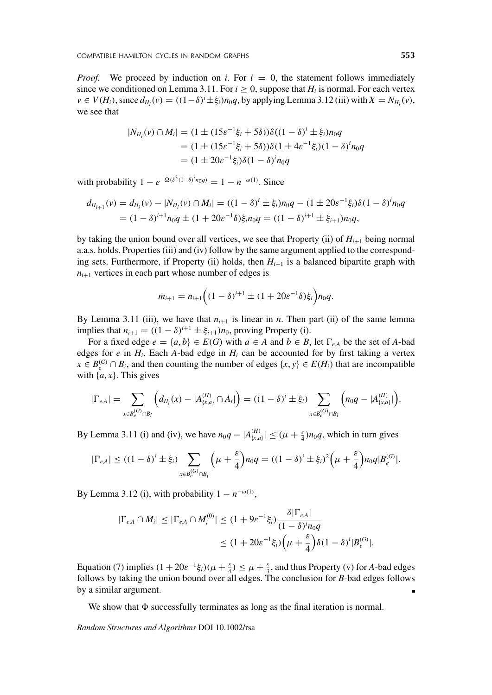*Proof.* We proceed by induction on *i*. For  $i = 0$ , the statement follows immediately since we conditioned on Lemma 3.11. For  $i \ge 0$ , suppose that  $H_i$  is normal. For each vertex  $v \in V(H_i)$ , since  $d_{H_i}(v) = ((1-\delta)^i \pm \xi_i)n_0q$ , by applying Lemma 3.12 (iii) with  $X = N_{H_i}(v)$ , we see that

$$
|N_{H_i}(v) \cap M_i| = (1 \pm (15\varepsilon^{-1}\xi_i + 5\delta))\delta((1 - \delta)^i \pm \xi_i)n_0q
$$
  
= (1 \pm (15\varepsilon^{-1}\xi\_i + 5\delta))\delta(1 \pm 4\varepsilon^{-1}\xi\_i)(1 - \delta)^i n\_0q  
= (1 \pm 20\varepsilon^{-1}\xi\_i)\delta(1 - \delta)^i n\_0q

with probability  $1 - e^{-\Omega(\delta^3(1-\delta)^i n_0 q)} = 1 - n^{-\omega(1)}$ . Since

$$
d_{H_{i+1}}(v) = d_{H_i}(v) - |N_{H_i}(v) \cap M_i| = ((1 - \delta)^i \pm \xi_i) n_0 q - (1 \pm 20\varepsilon^{-1}\xi_i) \delta (1 - \delta)^i n_0 q
$$
  
= 
$$
(1 - \delta)^{i+1} n_0 q \pm (1 + 20\varepsilon^{-1}\delta)\xi_i n_0 q = ((1 - \delta)^{i+1} \pm \xi_{i+1}) n_0 q,
$$

by taking the union bound over all vertices, we see that Property (ii) of  $H_{i+1}$  being normal a.a.s. holds. Properties (iii) and (iv) follow by the same argument applied to the corresponding sets. Furthermore, if Property (ii) holds, then  $H_{i+1}$  is a balanced bipartite graph with  $n_{i+1}$  vertices in each part whose number of edges is

$$
m_{i+1} = n_{i+1} \Big( (1 - \delta)^{i+1} \pm (1 + 20\varepsilon^{-1} \delta) \xi_i \Big) n_0 q.
$$

By Lemma 3.11 (iii), we have that  $n_{i+1}$  is linear in *n*. Then part (ii) of the same lemma implies that  $n_{i+1} = ((1 - \delta)^{i+1} \pm \xi_{i+1})n_0$ , proving Property (i).

For a fixed edge  $e = \{a, b\} \in E(G)$  with  $a \in A$  and  $b \in B$ , let  $\Gamma_{eA}$  be the set of *A*-bad edges for  $e$  in  $H_i$ . Each *A*-bad edge in  $H_i$  can be accounted for by first taking a vertex *x* ∈  $B_{\rho}^{(G)}$   $\cap$  *B<sub>i</sub>*, and then counting the number of edges {*x*, *y*} ∈ *E*(*H<sub>i</sub>*) that are incompatible with  $\{a, x\}$ . This gives

$$
|\Gamma_{e,A}| = \sum_{x \in B_e^{(G)} \cap B_i} \left( d_{H_i}(x) - |A_{\{x,a\}}^{(H)} \cap A_i| \right) = ((1 - \delta)^i \pm \xi_i) \sum_{x \in B_e^{(G)} \cap B_i} \left( n_0 q - |A_{\{x,a\}}^{(H)}| \right).
$$

By Lemma 3.11 (i) and (iv), we have  $n_0q - |A_{\{x,a\}}^{(H)}| \leq (\mu + \frac{\varepsilon}{4})n_0q$ , which in turn gives

$$
|\Gamma_{e,A}| \leq ((1-\delta)^i \pm \xi_i) \sum_{x \in B_e^{(G)} \cap B_i} \left(\mu + \frac{\varepsilon}{4}\right) n_0 q = ((1-\delta)^i \pm \xi_i)^2 \left(\mu + \frac{\varepsilon}{4}\right) n_0 q |B_e^{(G)}|.
$$

By Lemma 3.12 (i), with probability  $1 - n^{-\omega(1)}$ ,

$$
\begin{aligned} |\Gamma_{e,A} \cap M_i| &\leq |\Gamma_{e,A} \cap M_i^{(0)}| \leq (1 + 9\varepsilon^{-1}\xi_i) \frac{\delta|\Gamma_{e,A}|}{(1 - \delta)^i n_0 q} \\ &\leq (1 + 20\varepsilon^{-1}\xi_i) \bigg(\mu + \frac{\varepsilon}{4}\bigg) \delta(1 - \delta)^i |B_e^{(G)}|.\end{aligned}
$$

Equation (7) implies  $(1 + 20\varepsilon^{-1}\xi_i)(\mu + \frac{\varepsilon}{4}) \leq \mu + \frac{\varepsilon}{3}$ , and thus Property (v) for *A*-bad edges follows by taking the union bound over all edges. The conclusion for *B*-bad edges follows by a similar argument.

We show that  $\Phi$  successfully terminates as long as the final iteration is normal.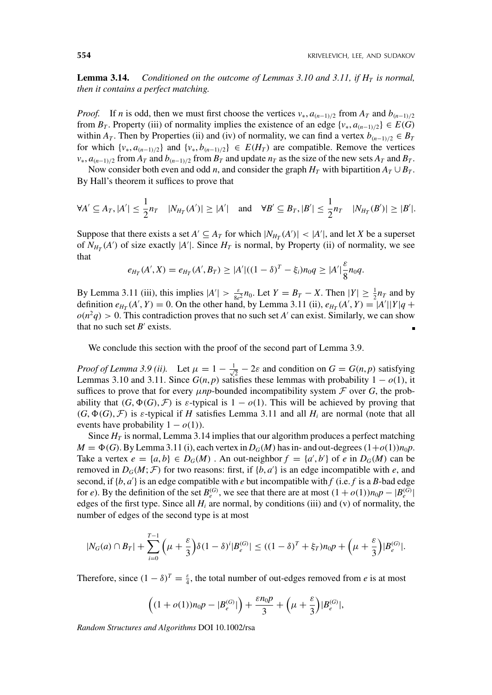**Lemma 3.14.** *Conditioned on the outcome of Lemmas 3.10 and 3.11, if*  $H<sub>T</sub>$  *is normal, then it contains a perfect matching.*

*Proof.* If *n* is odd, then we must first choose the vertices  $v_*, a_{(n-1)/2}$  from  $A_T$  and  $b_{(n-1)/2}$ from  $B_T$ . Property (iii) of normality implies the existence of an edge  $\{v_*, a_{(n-1)/2}\} \in E(G)$ within *A<sub>T</sub>*. Then by Properties (ii) and (iv) of normality, we can find a vertex  $b_{(n-1)/2} \in B_T$ for which  $\{v_*, a_{(n-1)/2}\}\$  and  $\{v_*, b_{(n-1)/2}\}\in E(H_T)$  are compatible. Remove the vertices  $v_*$ ,  $a_{(n-1)/2}$  from  $A_T$  and  $b_{(n-1)/2}$  from  $B_T$  and update  $n_T$  as the size of the new sets  $A_T$  and  $B_T$ .

Now consider both even and odd *n*, and consider the graph  $H_T$  with bipartition  $A_T \cup B_T$ . By Hall's theorem it suffices to prove that

$$
\forall A' \subseteq A_T, |A'| \leq \frac{1}{2}n_T \quad |N_{H_T}(A')| \geq |A'| \quad \text{and} \quad \forall B' \subseteq B_T, |B'| \leq \frac{1}{2}n_T \quad |N_{H_T}(B')| \geq |B'|.
$$

Suppose that there exists a set  $A' \subseteq A_T$  for which  $|N_{H_T}(A')| < |A'|$ , and let *X* be a superset of  $N_{H_T}(A')$  of size exactly  $|A'|$ . Since  $H_T$  is normal, by Property (ii) of normality, we see that

$$
e_{H_T}(A',X) = e_{H_T}(A',B_T) \ge |A'|((1-\delta)^T - \xi_i)n_0q \ge |A'| \frac{\varepsilon}{8}n_0q.
$$

By Lemma 3.11 (iii), this implies  $|A'| > \frac{\varepsilon}{8e^2}n_0$ . Let  $Y = B_T - X$ . Then  $|Y| \ge \frac{1}{2}n_T$  and by definition  $e_{H_T}(A', Y) = 0$ . On the other hand, by Lemma 3.11 (ii),  $e_{H_T}(A', Y) = |A'||Y|q +$  $o(n^2q) > 0$ . This contradiction proves that no such set *A'* can exist. Similarly, we can show that no such set  $B'$  exists.

We conclude this section with the proof of the second part of Lemma 3.9.

*Proof of Lemma 3.9 (ii).* Let  $\mu = 1 - \frac{1}{\sqrt{2}} - 2\varepsilon$  and condition on  $G = G(n, p)$  satisfying Lemmas 3.10 and 3.11. Since  $G(n, p)$  satisfies these lemmas with probability  $1 - o(1)$ , it suffices to prove that for every  $\mu np$ -bounded incompatibility system  $\mathcal F$  over  $G$ , the probability that  $(G, \Phi(G), \mathcal{F})$  is  $\varepsilon$ -typical is  $1 - o(1)$ . This will be achieved by proving that  $(G, \Phi(G), \mathcal{F})$  is *ε*-typical if *H* satisfies Lemma 3.11 and all  $H_i$  are normal (note that all events have probability  $1 - o(1)$ ).

Since  $H_T$  is normal, Lemma 3.14 implies that our algorithm produces a perfect matching  $M = \Phi(G)$ . By Lemma 3.11 (i), each vertex in  $D_G(M)$  has in- and out-degrees  $(1+o(1))n_0p$ . Take a vertex  $e = \{a, b\} \in D_G(M)$ . An out-neighbor  $f = \{a', b'\}$  of  $e$  in  $D_G(M)$  can be removed in  $D_G(M; \mathcal{F})$  for two reasons: first, if  $\{b, a'\}$  is an edge incompatible with *e*, and second, if  $\{b, a'\}$  is an edge compatible with *e* but incompatible with *f* (i.e. *f* is a *B*-bad edge for *e*). By the definition of the set  $B_{\rho}^{(G)}$ , we see that there are at most  $(1 + o(1))n_0p - |B_{\rho}^{(G)}|$ edges of the first type. Since all  $H_i$  are normal, by conditions (iii) and (v) of normality, the number of edges of the second type is at most

$$
|N_G(a) \cap B_T| + \sum_{i=0}^{T-1} \left(\mu + \frac{\varepsilon}{3}\right) \delta(1-\delta)^i |B_e^{(G)}| \le ((1-\delta)^T + \xi_T) n_0 p + \left(\mu + \frac{\varepsilon}{3}\right) |B_e^{(G)}|.
$$

Therefore, since  $(1 - \delta)^T = \frac{\varepsilon}{4}$ , the total number of out-edges removed from *e* is at most

$$
\left((1+o(1))n_0p-|B_e^{(G)}|\right)+\frac{\varepsilon n_0p}{3}+\left(\mu+\frac{\varepsilon}{3}\right)|B_e^{(G)}|,
$$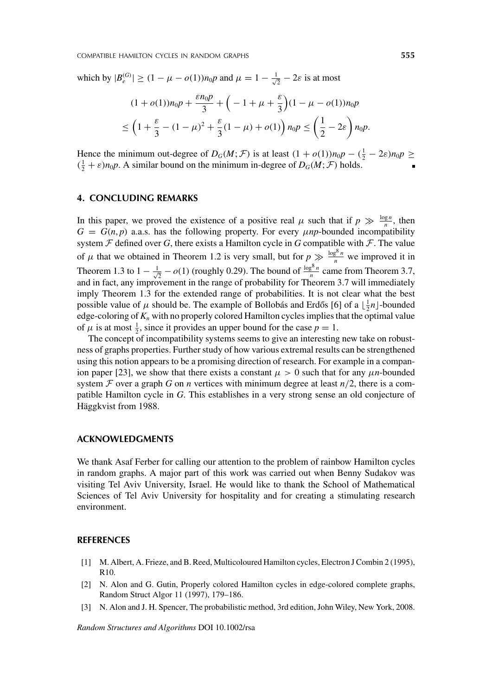which by  $|B_e^{(G)}| \ge (1 - \mu - o(1))n_0p$  and  $\mu = 1 - \frac{1}{\sqrt{2}} - 2\varepsilon$  is at most

$$
(1 + o(1))n_0p + \frac{\varepsilon n_0p}{3} + \left(-1 + \mu + \frac{\varepsilon}{3}\right)(1 - \mu - o(1))n_0p
$$
  

$$
\leq \left(1 + \frac{\varepsilon}{3} - (1 - \mu)^2 + \frac{\varepsilon}{3}(1 - \mu) + o(1)\right)n_0p \leq \left(\frac{1}{2} - 2\varepsilon\right)n_0p.
$$

Hence the minimum out-degree of  $D_G(M; \mathcal{F})$  is at least  $(1 + o(1))n_0p - (\frac{1}{2} - 2\varepsilon)n_0p \ge$  $(\frac{1}{2} + \varepsilon)n_0p$ . A similar bound on the minimum in-degree of  $D_G(M; \mathcal{F})$  holds.

# **4. CONCLUDING REMARKS**

In this paper, we proved the existence of a positive real  $\mu$  such that if  $p \gg \frac{\log n}{n}$ , then  $G = G(n, p)$  a.a.s. has the following property. For every  $\mu np$ -bounded incompatibility system  $\mathcal F$  defined over  $G$ , there exists a Hamilton cycle in  $G$  compatible with  $\mathcal F$ . The value of  $\mu$  that we obtained in Theorem 1.2 is very small, but for  $p \gg \frac{\log^8 n}{n}$  we improved it in Theorem 1.3 to  $1 - \frac{1}{\sqrt{2}} - o(1)$  (roughly 0.29). The bound of  $\frac{\log^8 n}{n}$  came from Theorem 3.7, and in fact, any improvement in the range of probability for Theorem 3.7 will immediately imply Theorem 1.3 for the extended range of probabilities. It is not clear what the best possible value of  $\mu$  should be. The example of Bollobás and Erdős [6] of a  $\lfloor \frac{1}{2}n \rfloor$ -bounded edge-coloring of  $K_n$  with no properly colored Hamilton cycles implies that the optimal value of  $\mu$  is at most  $\frac{1}{2}$ , since it provides an upper bound for the case  $p = 1$ .

The concept of incompatibility systems seems to give an interesting new take on robustness of graphs properties. Further study of how various extremal results can be strengthened using this notion appears to be a promising direction of research. For example in a companion paper [23], we show that there exists a constant  $\mu > 0$  such that for any  $\mu$ *n*-bounded system  $\mathcal F$  over a graph  $G$  on  $n$  vertices with minimum degree at least  $n/2$ , there is a compatible Hamilton cycle in *G*. This establishes in a very strong sense an old conjecture of Häggkvist from 1988.

## **ACKNOWLEDGMENTS**

We thank Asaf Ferber for calling our attention to the problem of rainbow Hamilton cycles in random graphs. A major part of this work was carried out when Benny Sudakov was visiting Tel Aviv University, Israel. He would like to thank the School of Mathematical Sciences of Tel Aviv University for hospitality and for creating a stimulating research environment.

#### **REFERENCES**

- [1] M. Albert, A. Frieze, and B. Reed, Multicoloured Hamilton cycles, Electron J Combin 2 (1995), R10.
- [2] N. Alon and G. Gutin, Properly colored Hamilton cycles in edge-colored complete graphs, Random Struct Algor 11 (1997), 179–186.
- [3] N. Alon and J. H. Spencer, The probabilistic method, 3rd edition, John Wiley, New York, 2008.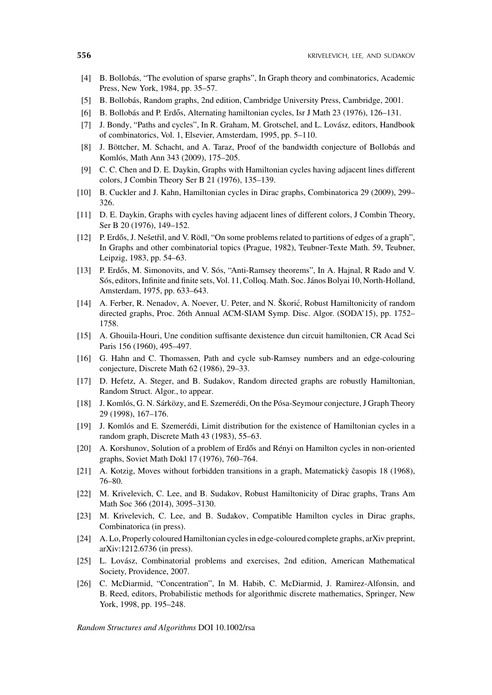- [4] B. Bollobás, "The evolution of sparse graphs", In Graph theory and combinatorics, Academic Press, New York, 1984, pp. 35–57.
- [5] B. Bollobás, Random graphs, 2nd edition, Cambridge University Press, Cambridge, 2001.
- [6] B. Bollobás and P. Erdős, Alternating hamiltonian cycles, Isr J Math  $23$  (1976), 126–131.
- [7] J. Bondy, "Paths and cycles", In R. Graham, M. Grotschel, and L. Lovász, editors, Handbook of combinatorics, Vol. 1, Elsevier, Amsterdam, 1995, pp. 5–110.
- [8] J. Böttcher, M. Schacht, and A. Taraz, Proof of the bandwidth conjecture of Bollobás and Komlós, Math Ann 343 (2009), 175–205.
- [9] C. C. Chen and D. E. Daykin, Graphs with Hamiltonian cycles having adjacent lines different colors, J Combin Theory Ser B 21 (1976), 135–139.
- [10] B. Cuckler and J. Kahn, Hamiltonian cycles in Dirac graphs, Combinatorica 29 (2009), 299– 326.
- [11] D. E. Daykin, Graphs with cycles having adjacent lines of different colors, J Combin Theory, Ser B 20 (1976), 149–152.
- [12] P. Erdős, J. Nešetřil, and V. Rödl, "On some problems related to partitions of edges of a graph", In Graphs and other combinatorial topics (Prague, 1982), Teubner-Texte Math. 59, Teubner, Leipzig, 1983, pp. 54–63.
- [13] P. Erdős, M. Simonovits, and V. Sós, "Anti-Ramsey theorems", In A. Hajnal, R Rado and V. Sós, editors, Infinite and finite sets, Vol. 11, Colloq. Math. Soc. János Bolyai 10, North-Holland, Amsterdam, 1975, pp. 633–643.
- [14] A. Ferber, R. Nenadov, A. Noever, U. Peter, and N. Škoric, Robust Hamiltonicity of random ´ directed graphs, Proc. 26th Annual ACM-SIAM Symp. Disc. Algor. (SODA'15), pp. 1752– 1758.
- [15] A. Ghouila-Houri, Une condition suffisante dexistence dun circuit hamiltonien, CR Acad Sci Paris 156 (1960), 495–497.
- [16] G. Hahn and C. Thomassen, Path and cycle sub-Ramsey numbers and an edge-colouring conjecture, Discrete Math 62 (1986), 29–33.
- [17] D. Hefetz, A. Steger, and B. Sudakov, Random directed graphs are robustly Hamiltonian, Random Struct. Algor., to appear.
- [18] J. Komlós, G. N. Sárközy, and E. Szemerédi, On the Pósa-Seymour conjecture, J Graph Theory 29 (1998), 167–176.
- [19] J. Komlós and E. Szemerédi, Limit distribution for the existence of Hamiltonian cycles in a random graph, Discrete Math 43 (1983), 55–63.
- [20] A. Korshunov, Solution of a problem of Erdős and Rényi on Hamilton cycles in non-oriented graphs, Soviet Math Dokl 17 (1976), 760–764.
- [21] A. Kotzig, Moves without forbidden transitions in a graph, Matematicky časopis 18 (1968), 76–80.
- [22] M. Krivelevich, C. Lee, and B. Sudakov, Robust Hamiltonicity of Dirac graphs, Trans Am Math Soc 366 (2014), 3095–3130.
- [23] M. Krivelevich, C. Lee, and B. Sudakov, Compatible Hamilton cycles in Dirac graphs, Combinatorica (in press).
- [24] A. Lo, Properly coloured Hamiltonian cycles in edge-coloured complete graphs, arXiv preprint, arXiv:1212.6736 (in press).
- [25] L. Lovász, Combinatorial problems and exercises, 2nd edition, American Mathematical Society, Providence, 2007.
- [26] C. McDiarmid, "Concentration", In M. Habib, C. McDiarmid, J. Ramirez-Alfonsin, and B. Reed, editors, Probabilistic methods for algorithmic discrete mathematics, Springer, New York, 1998, pp. 195–248.